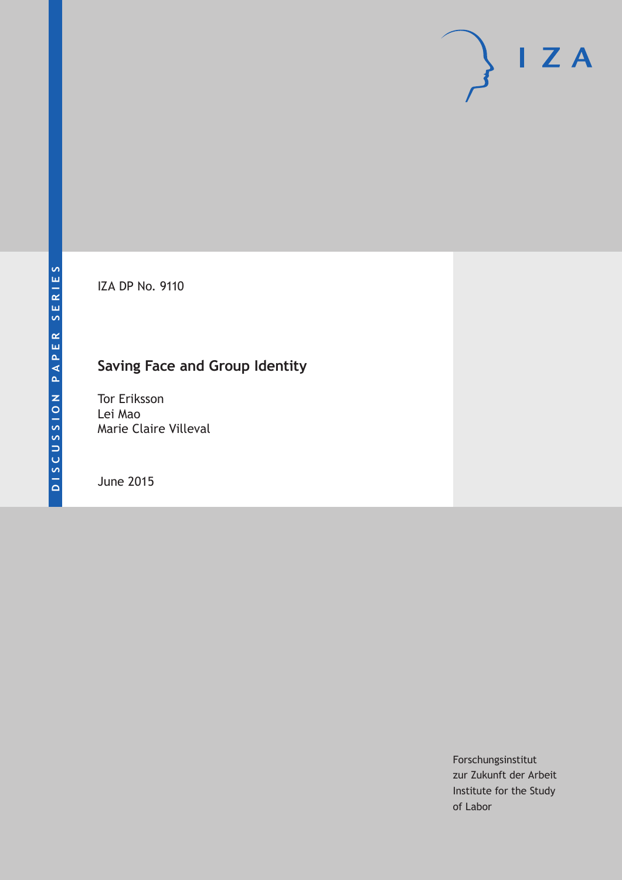IZA DP No. 9110

## **Saving Face and Group Identity**

Tor Eriksson Lei Mao Marie Claire Villeval

June 2015

Forschungsinstitut zur Zukunft der Arbeit Institute for the Study of Labor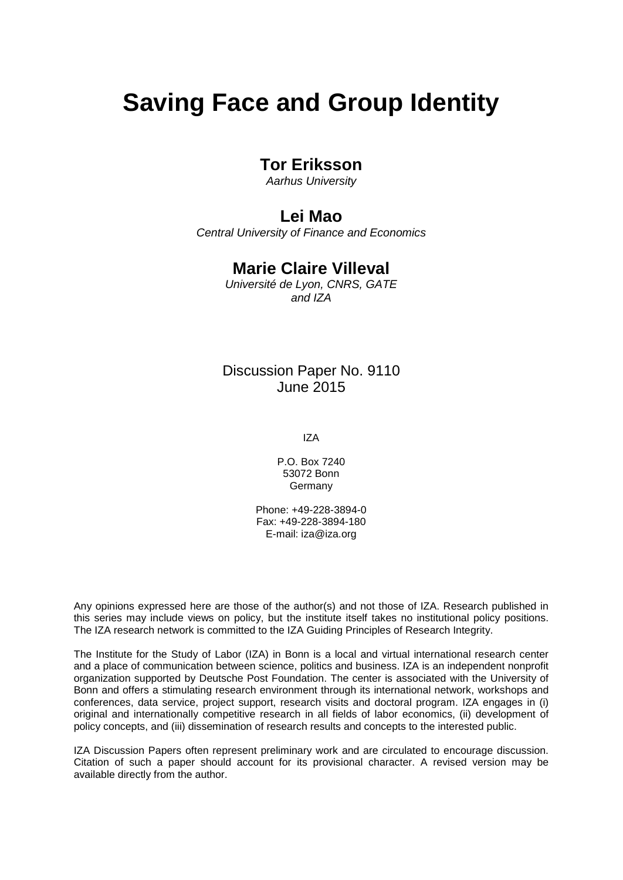# **Saving Face and Group Identity**

## **Tor Eriksson**

*Aarhus University*

## **Lei Mao**

*Central University of Finance and Economics*

## **Marie Claire Villeval**

*Université de Lyon, CNRS, GATE and IZA*

## Discussion Paper No. 9110 June 2015

IZA

P.O. Box 7240 53072 Bonn **Germany** 

Phone: +49-228-3894-0 Fax: +49-228-3894-180 E-mail: iza@iza.org

Any opinions expressed here are those of the author(s) and not those of IZA. Research published in this series may include views on policy, but the institute itself takes no institutional policy positions. The IZA research network is committed to the IZA Guiding Principles of Research Integrity.

The Institute for the Study of Labor (IZA) in Bonn is a local and virtual international research center and a place of communication between science, politics and business. IZA is an independent nonprofit organization supported by Deutsche Post Foundation. The center is associated with the University of Bonn and offers a stimulating research environment through its international network, workshops and conferences, data service, project support, research visits and doctoral program. IZA engages in (i) original and internationally competitive research in all fields of labor economics, (ii) development of policy concepts, and (iii) dissemination of research results and concepts to the interested public.

<span id="page-1-0"></span>IZA Discussion Papers often represent preliminary work and are circulated to encourage discussion. Citation of such a paper should account for its provisional character. A revised version may be available directly from the author.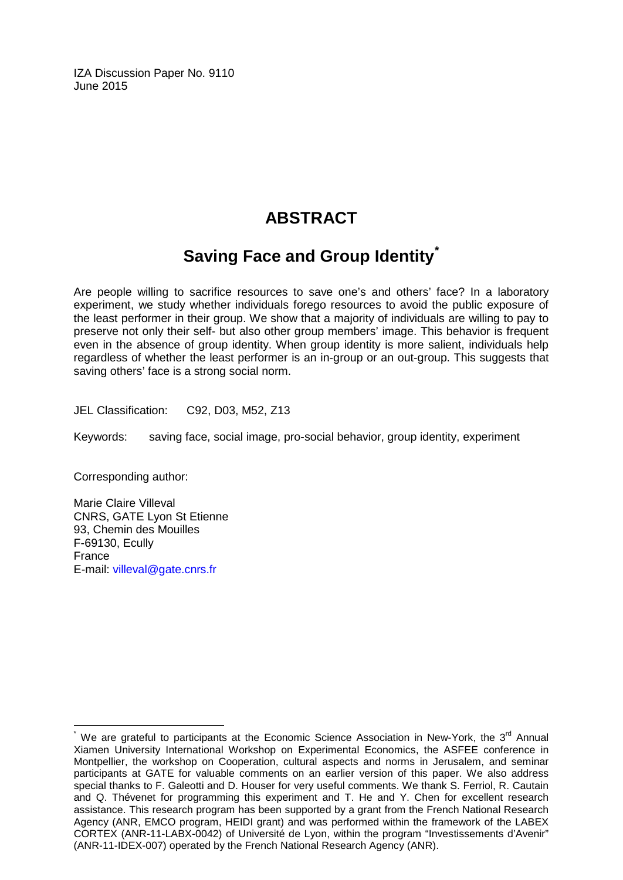IZA Discussion Paper No. 9110 June 2015

## **ABSTRACT**

## **Saving Face and Group Identity[\\*](#page-1-0)**

Are people willing to sacrifice resources to save one's and others' face? In a laboratory experiment, we study whether individuals forego resources to avoid the public exposure of the least performer in their group. We show that a majority of individuals are willing to pay to preserve not only their self- but also other group members' image. This behavior is frequent even in the absence of group identity. When group identity is more salient, individuals help regardless of whether the least performer is an in-group or an out-group. This suggests that saving others' face is a strong social norm.

JEL Classification: C92, D03, M52, Z13

Keywords: saving face, social image, pro-social behavior, group identity, experiment

Corresponding author:

Marie Claire Villeval CNRS, GATE Lyon St Etienne 93, Chemin des Mouilles F-69130, Ecully France E-mail: [villeval@gate.cnrs.fr](mailto:villeval@gate.cnrs.fr)

We are grateful to participants at the Economic Science Association in New-York, the  $3^{rd}$  Annual Xiamen University International Workshop on Experimental Economics, the ASFEE conference in Montpellier, the workshop on Cooperation, cultural aspects and norms in Jerusalem, and seminar participants at GATE for valuable comments on an earlier version of this paper. We also address special thanks to F. Galeotti and D. Houser for very useful comments. We thank S. Ferriol, R. Cautain and Q. Thévenet for programming this experiment and T. He and Y. Chen for excellent research assistance. This research program has been supported by a grant from the French National Research Agency (ANR, EMCO program, HEIDI grant) and was performed within the framework of the LABEX CORTEX (ANR-11-LABX-0042) of Université de Lyon, within the program "Investissements d'Avenir" (ANR-11-IDEX-007) operated by the French National Research Agency (ANR).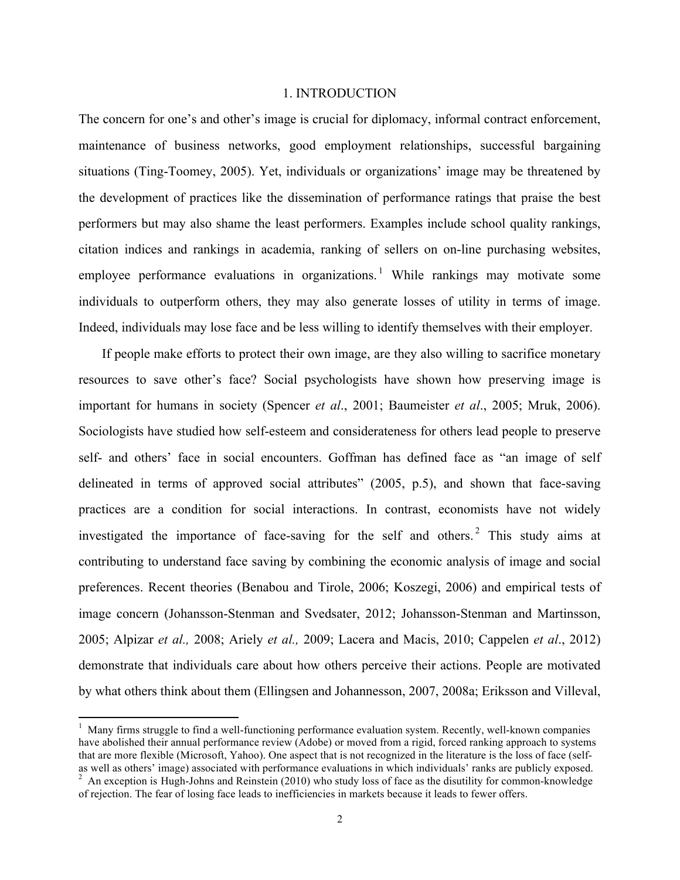#### 1. INTRODUCTION

The concern for one's and other's image is crucial for diplomacy, informal contract enforcement, maintenance of business networks, good employment relationships, successful bargaining situations (Ting-Toomey, 2005). Yet, individuals or organizations' image may be threatened by the development of practices like the dissemination of performance ratings that praise the best performers but may also shame the least performers. Examples include school quality rankings, citation indices and rankings in academia, ranking of sellers on on-line purchasing websites, employee performance evaluations in organizations.<sup>1</sup> While rankings may motivate some individuals to outperform others, they may also generate losses of utility in terms of image. Indeed, individuals may lose face and be less willing to identify themselves with their employer.

If people make efforts to protect their own image, are they also willing to sacrifice monetary resources to save other's face? Social psychologists have shown how preserving image is important for humans in society (Spencer *et al*., 2001; Baumeister *et al*., 2005; Mruk, 2006). Sociologists have studied how self-esteem and considerateness for others lead people to preserve self- and others' face in social encounters. Goffman has defined face as "an image of self delineated in terms of approved social attributes" (2005, p.5), and shown that face-saving practices are a condition for social interactions. In contrast, economists have not widely investigated the importance of face-saving for the self and others.<sup>2</sup> This study aims at contributing to understand face saving by combining the economic analysis of image and social preferences. Recent theories (Benabou and Tirole, 2006; Koszegi, 2006) and empirical tests of image concern (Johansson-Stenman and Svedsater, 2012; Johansson-Stenman and Martinsson, 2005; Alpizar *et al.,* 2008; Ariely *et al.,* 2009; Lacera and Macis, 2010; Cappelen *et al*., 2012) demonstrate that individuals care about how others perceive their actions. People are motivated by what others think about them (Ellingsen and Johannesson, 2007, 2008a; Eriksson and Villeval,

 $1$  Many firms struggle to find a well-functioning performance evaluation system. Recently, well-known companies have abolished their annual performance review (Adobe) or moved from a rigid, forced ranking approach to systems that are more flexible (Microsoft, Yahoo). One aspect that is not recognized in the literature is the loss of face (selfas well as others' image) associated with performance evaluations in which individuals' ranks are publicly exposed.

<sup>&</sup>lt;sup>2</sup> An exception is Hugh-Johns and Reinstein (2010) who study loss of face as the disutility for common-knowledge of rejection. The fear of losing face leads to inefficiencies in markets because it leads to fewer offers.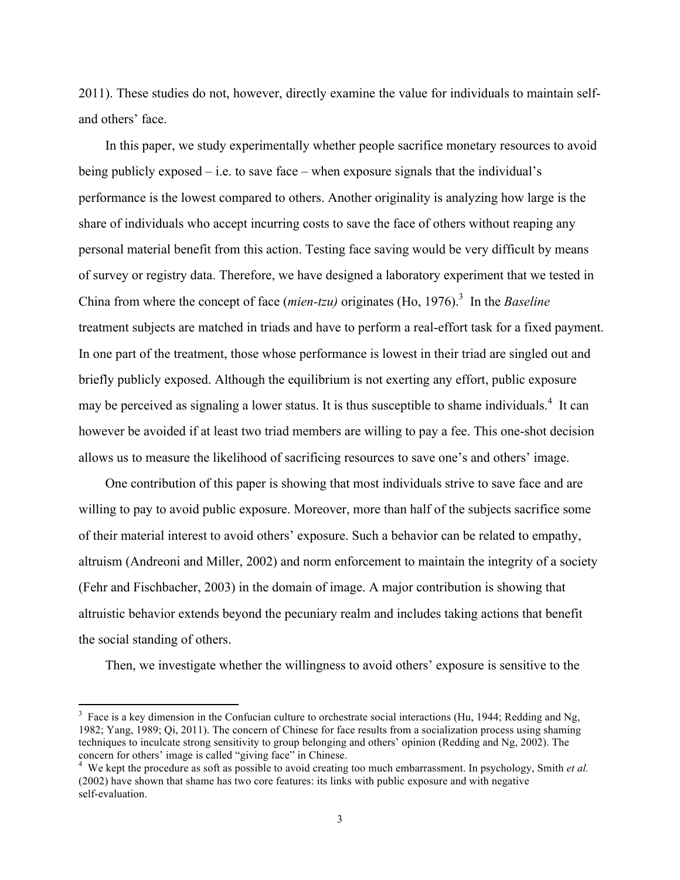2011). These studies do not, however, directly examine the value for individuals to maintain selfand others' face.

In this paper, we study experimentally whether people sacrifice monetary resources to avoid being publicly exposed  $-$  i.e. to save face  $-$  when exposure signals that the individual's performance is the lowest compared to others. Another originality is analyzing how large is the share of individuals who accept incurring costs to save the face of others without reaping any personal material benefit from this action. Testing face saving would be very difficult by means of survey or registry data. Therefore, we have designed a laboratory experiment that we tested in China from where the concept of face *(mien-tzu)* originates (Ho, 1976).<sup>3</sup> In the *Baseline* treatment subjects are matched in triads and have to perform a real-effort task for a fixed payment. In one part of the treatment, those whose performance is lowest in their triad are singled out and briefly publicly exposed. Although the equilibrium is not exerting any effort, public exposure may be perceived as signaling a lower status. It is thus susceptible to shame individuals.<sup>4</sup> It can however be avoided if at least two triad members are willing to pay a fee. This one-shot decision allows us to measure the likelihood of sacrificing resources to save one's and others' image.

One contribution of this paper is showing that most individuals strive to save face and are willing to pay to avoid public exposure. Moreover, more than half of the subjects sacrifice some of their material interest to avoid others' exposure. Such a behavior can be related to empathy, altruism (Andreoni and Miller, 2002) and norm enforcement to maintain the integrity of a society (Fehr and Fischbacher, 2003) in the domain of image. A major contribution is showing that altruistic behavior extends beyond the pecuniary realm and includes taking actions that benefit the social standing of others.

Then, we investigate whether the willingness to avoid others' exposure is sensitive to the

<sup>&</sup>lt;sup>3</sup> Face is a key dimension in the Confucian culture to orchestrate social interactions (Hu, 1944; Redding and Ng, 1982; Yang, 1989; Qi, 2011). The concern of Chinese for face results from a socialization process using shaming techniques to inculcate strong sensitivity to group belonging and others' opinion (Redding and Ng, 2002). The concern for others' image is called "giving face" in Chinese.

<sup>&</sup>lt;sup>4</sup> We kept the procedure as soft as possible to avoid creating too much embarrassment. In psychology, Smith *et al.* (2002) have shown that shame has two core features: its links with public exposure and with negative self-evaluation.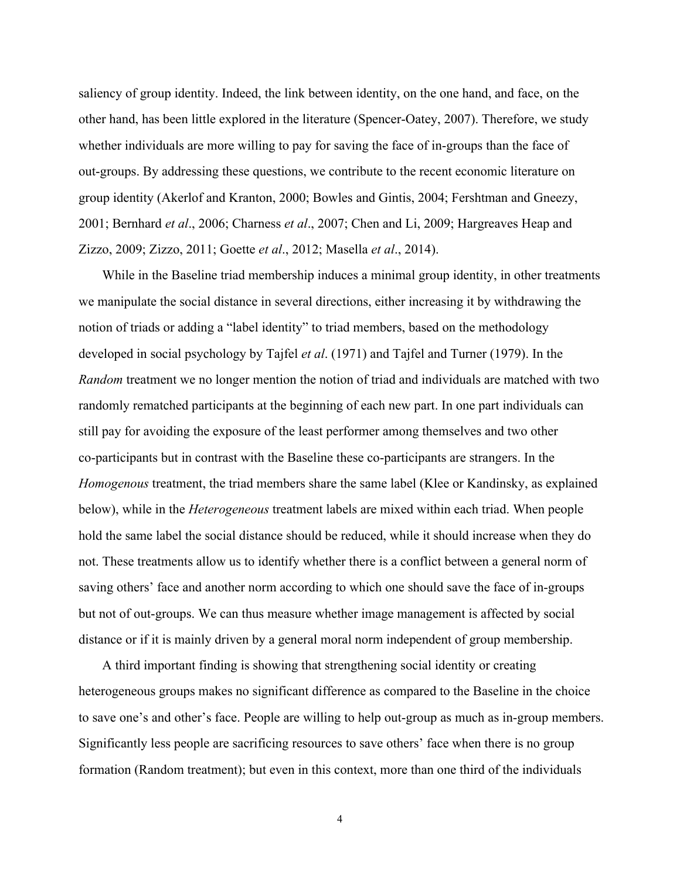saliency of group identity. Indeed, the link between identity, on the one hand, and face, on the other hand, has been little explored in the literature (Spencer-Oatey, 2007). Therefore, we study whether individuals are more willing to pay for saving the face of in-groups than the face of out-groups. By addressing these questions, we contribute to the recent economic literature on group identity (Akerlof and Kranton, 2000; Bowles and Gintis, 2004; Fershtman and Gneezy, 2001; Bernhard *et al*., 2006; Charness *et al*., 2007; Chen and Li, 2009; Hargreaves Heap and Zizzo, 2009; Zizzo, 2011; Goette *et al*., 2012; Masella *et al*., 2014).

While in the Baseline triad membership induces a minimal group identity, in other treatments we manipulate the social distance in several directions, either increasing it by withdrawing the notion of triads or adding a "label identity" to triad members, based on the methodology developed in social psychology by Tajfel *et al*. (1971) and Tajfel and Turner (1979). In the *Random* treatment we no longer mention the notion of triad and individuals are matched with two randomly rematched participants at the beginning of each new part. In one part individuals can still pay for avoiding the exposure of the least performer among themselves and two other co-participants but in contrast with the Baseline these co-participants are strangers. In the *Homogenous* treatment, the triad members share the same label (Klee or Kandinsky, as explained below), while in the *Heterogeneous* treatment labels are mixed within each triad. When people hold the same label the social distance should be reduced, while it should increase when they do not. These treatments allow us to identify whether there is a conflict between a general norm of saving others' face and another norm according to which one should save the face of in-groups but not of out-groups. We can thus measure whether image management is affected by social distance or if it is mainly driven by a general moral norm independent of group membership.

A third important finding is showing that strengthening social identity or creating heterogeneous groups makes no significant difference as compared to the Baseline in the choice to save one's and other's face. People are willing to help out-group as much as in-group members. Significantly less people are sacrificing resources to save others' face when there is no group formation (Random treatment); but even in this context, more than one third of the individuals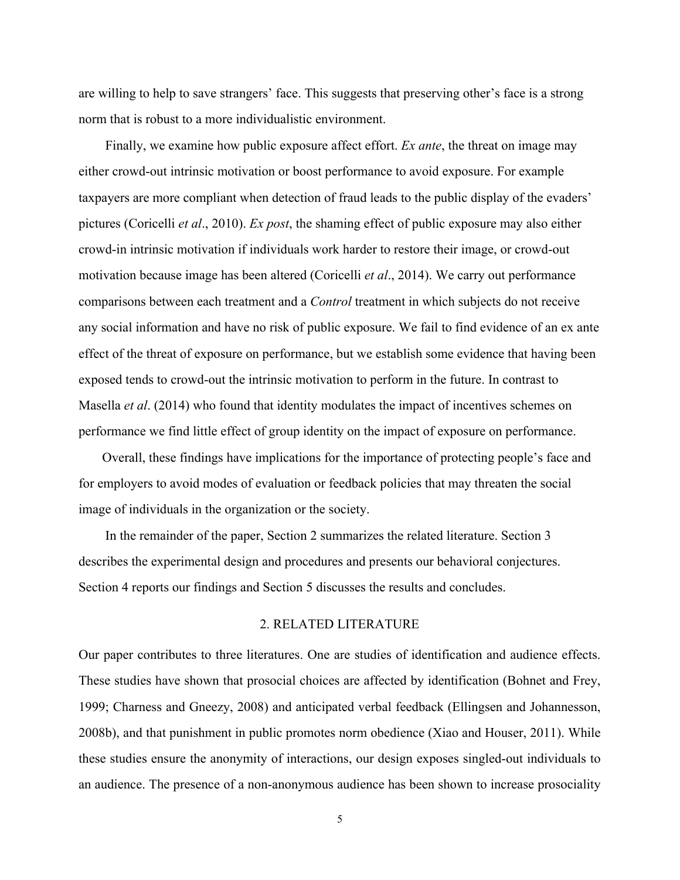are willing to help to save strangers' face. This suggests that preserving other's face is a strong norm that is robust to a more individualistic environment.

Finally, we examine how public exposure affect effort. *Ex ante*, the threat on image may either crowd-out intrinsic motivation or boost performance to avoid exposure. For example taxpayers are more compliant when detection of fraud leads to the public display of the evaders' pictures (Coricelli *et al*., 2010). *Ex post*, the shaming effect of public exposure may also either crowd-in intrinsic motivation if individuals work harder to restore their image, or crowd-out motivation because image has been altered (Coricelli *et al*., 2014). We carry out performance comparisons between each treatment and a *Control* treatment in which subjects do not receive any social information and have no risk of public exposure. We fail to find evidence of an ex ante effect of the threat of exposure on performance, but we establish some evidence that having been exposed tends to crowd-out the intrinsic motivation to perform in the future. In contrast to Masella *et al*. (2014) who found that identity modulates the impact of incentives schemes on performance we find little effect of group identity on the impact of exposure on performance.

Overall, these findings have implications for the importance of protecting people's face and for employers to avoid modes of evaluation or feedback policies that may threaten the social image of individuals in the organization or the society.

In the remainder of the paper, Section 2 summarizes the related literature. Section 3 describes the experimental design and procedures and presents our behavioral conjectures. Section 4 reports our findings and Section 5 discusses the results and concludes.

#### 2. RELATED LITERATURE

Our paper contributes to three literatures. One are studies of identification and audience effects. These studies have shown that prosocial choices are affected by identification (Bohnet and Frey, 1999; Charness and Gneezy, 2008) and anticipated verbal feedback (Ellingsen and Johannesson, 2008b), and that punishment in public promotes norm obedience (Xiao and Houser, 2011). While these studies ensure the anonymity of interactions, our design exposes singled-out individuals to an audience. The presence of a non-anonymous audience has been shown to increase prosociality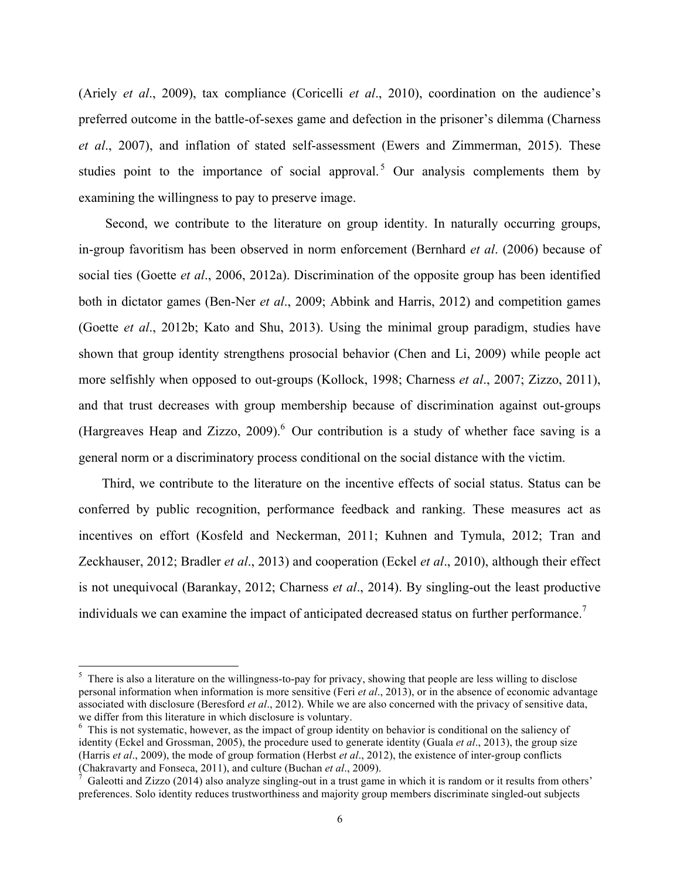(Ariely *et al*., 2009), tax compliance (Coricelli *et al*., 2010), coordination on the audience's preferred outcome in the battle-of-sexes game and defection in the prisoner's dilemma (Charness *et al*., 2007), and inflation of stated self-assessment (Ewers and Zimmerman, 2015). These studies point to the importance of social approval.<sup>5</sup> Our analysis complements them by examining the willingness to pay to preserve image.

Second, we contribute to the literature on group identity. In naturally occurring groups, in-group favoritism has been observed in norm enforcement (Bernhard *et al*. (2006) because of social ties (Goette *et al*., 2006, 2012a). Discrimination of the opposite group has been identified both in dictator games (Ben-Ner *et al*., 2009; Abbink and Harris, 2012) and competition games (Goette *et al*., 2012b; Kato and Shu, 2013). Using the minimal group paradigm, studies have shown that group identity strengthens prosocial behavior (Chen and Li, 2009) while people act more selfishly when opposed to out-groups (Kollock, 1998; Charness *et al*., 2007; Zizzo, 2011), and that trust decreases with group membership because of discrimination against out-groups (Hargreaves Heap and Zizzo, 2009). $^6$  Our contribution is a study of whether face saving is a general norm or a discriminatory process conditional on the social distance with the victim.

Third, we contribute to the literature on the incentive effects of social status. Status can be conferred by public recognition, performance feedback and ranking. These measures act as incentives on effort (Kosfeld and Neckerman, 2011; Kuhnen and Tymula, 2012; Tran and Zeckhauser, 2012; Bradler *et al*., 2013) and cooperation (Eckel *et al*., 2010), although their effect is not unequivocal (Barankay, 2012; Charness *et al*., 2014). By singling-out the least productive individuals we can examine the impact of anticipated decreased status on further performance.<sup>7</sup>

 $5$  There is also a literature on the willingness-to-pay for privacy, showing that people are less willing to disclose personal information when information is more sensitive (Feri *et al*., 2013), or in the absence of economic advantage associated with disclosure (Beresford *et al*., 2012). While we are also concerned with the privacy of sensitive data, we differ from this literature in which disclosure is voluntary.

 $6$  This is not systematic, however, as the impact of group identity on behavior is conditional on the saliency of identity (Eckel and Grossman, 2005), the procedure used to generate identity (Guala *et al*., 2013), the group size (Harris *et al.*, 2009), the mode of group formation (Herbst *et al.*, 2012), the existence of inter-group conflicts (Chakravarty and Fonseca, 2011), and culture (Buchan *et al.*, 2009).

Galeotti and Zizzo (2014) also analyze singling-out in a trust game in which it is random or it results from others' preferences. Solo identity reduces trustworthiness and majority group members discriminate singled-out subjects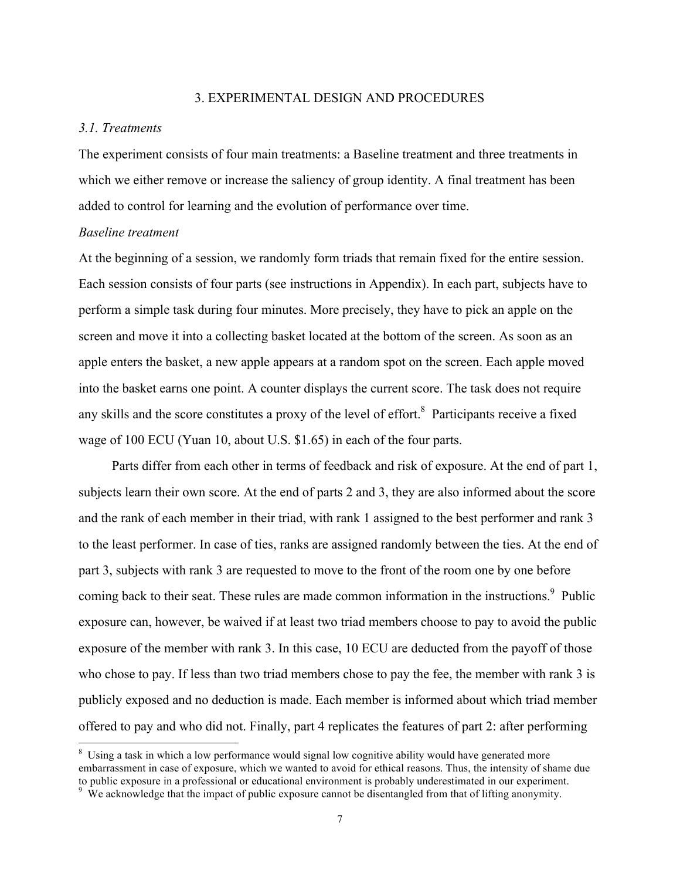#### 3. EXPERIMENTAL DESIGN AND PROCEDURES

#### *3.1. Treatments*

The experiment consists of four main treatments: a Baseline treatment and three treatments in which we either remove or increase the saliency of group identity. A final treatment has been added to control for learning and the evolution of performance over time.

#### *Baseline treatment*

At the beginning of a session, we randomly form triads that remain fixed for the entire session. Each session consists of four parts (see instructions in Appendix). In each part, subjects have to perform a simple task during four minutes. More precisely, they have to pick an apple on the screen and move it into a collecting basket located at the bottom of the screen. As soon as an apple enters the basket, a new apple appears at a random spot on the screen. Each apple moved into the basket earns one point. A counter displays the current score. The task does not require any skills and the score constitutes a proxy of the level of effort.<sup>8</sup> Participants receive a fixed wage of 100 ECU (Yuan 10, about U.S. \$1.65) in each of the four parts.

Parts differ from each other in terms of feedback and risk of exposure. At the end of part 1, subjects learn their own score. At the end of parts 2 and 3, they are also informed about the score and the rank of each member in their triad, with rank 1 assigned to the best performer and rank 3 to the least performer. In case of ties, ranks are assigned randomly between the ties. At the end of part 3, subjects with rank 3 are requested to move to the front of the room one by one before coming back to their seat. These rules are made common information in the instructions.<sup>9</sup> Public exposure can, however, be waived if at least two triad members choose to pay to avoid the public exposure of the member with rank 3. In this case, 10 ECU are deducted from the payoff of those who chose to pay. If less than two triad members chose to pay the fee, the member with rank 3 is publicly exposed and no deduction is made. Each member is informed about which triad member offered to pay and who did not. Finally, part 4 replicates the features of part 2: after performing

<sup>&</sup>lt;sup>8</sup> Using a task in which a low performance would signal low cognitive ability would have generated more embarrassment in case of exposure, which we wanted to avoid for ethical reasons. Thus, the intensity of shame due to public exposure in a professional or educational environment is probably underestimated in our experiment.

<sup>&</sup>lt;sup>9</sup> We acknowledge that the impact of public exposure cannot be disentangled from that of lifting anonymity.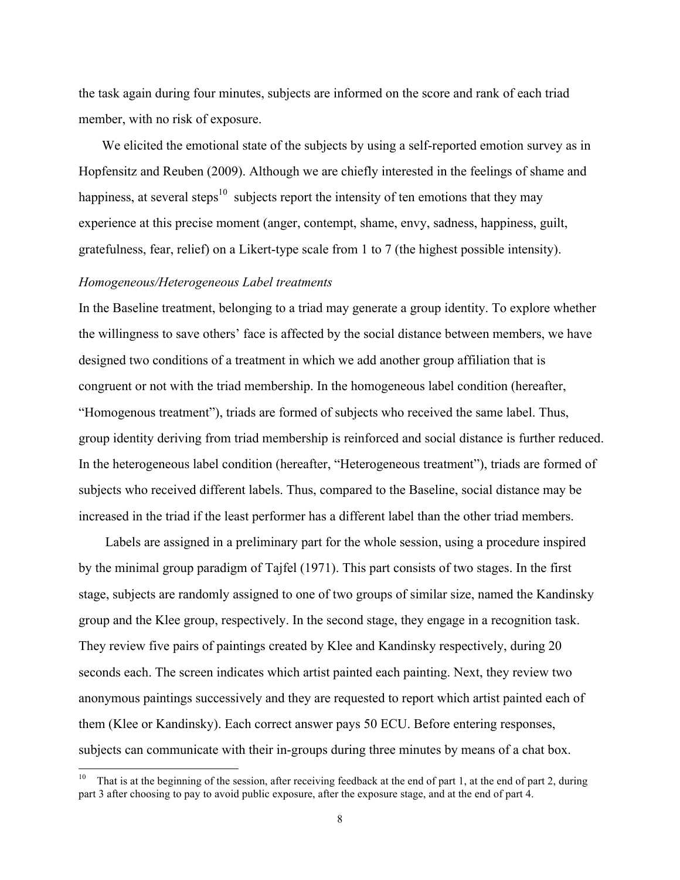the task again during four minutes, subjects are informed on the score and rank of each triad member, with no risk of exposure.

We elicited the emotional state of the subjects by using a self-reported emotion survey as in Hopfensitz and Reuben (2009). Although we are chiefly interested in the feelings of shame and happiness, at several steps<sup>10</sup> subjects report the intensity of ten emotions that they may experience at this precise moment (anger, contempt, shame, envy, sadness, happiness, guilt, gratefulness, fear, relief) on a Likert-type scale from 1 to 7 (the highest possible intensity).

#### *Homogeneous/Heterogeneous Label treatments*

In the Baseline treatment, belonging to a triad may generate a group identity. To explore whether the willingness to save others' face is affected by the social distance between members, we have designed two conditions of a treatment in which we add another group affiliation that is congruent or not with the triad membership. In the homogeneous label condition (hereafter, "Homogenous treatment"), triads are formed of subjects who received the same label. Thus, group identity deriving from triad membership is reinforced and social distance is further reduced. In the heterogeneous label condition (hereafter, "Heterogeneous treatment"), triads are formed of subjects who received different labels. Thus, compared to the Baseline, social distance may be increased in the triad if the least performer has a different label than the other triad members.

Labels are assigned in a preliminary part for the whole session, using a procedure inspired by the minimal group paradigm of Tajfel (1971). This part consists of two stages. In the first stage, subjects are randomly assigned to one of two groups of similar size, named the Kandinsky group and the Klee group, respectively. In the second stage, they engage in a recognition task. They review five pairs of paintings created by Klee and Kandinsky respectively, during 20 seconds each. The screen indicates which artist painted each painting. Next, they review two anonymous paintings successively and they are requested to report which artist painted each of them (Klee or Kandinsky). Each correct answer pays 50 ECU. Before entering responses, subjects can communicate with their in-groups during three minutes by means of a chat box.

<sup>&</sup>lt;sup>10</sup> That is at the beginning of the session, after receiving feedback at the end of part 1, at the end of part 2, during part 3 after choosing to pay to avoid public exposure, after the exposure stage, and at the end of part 4.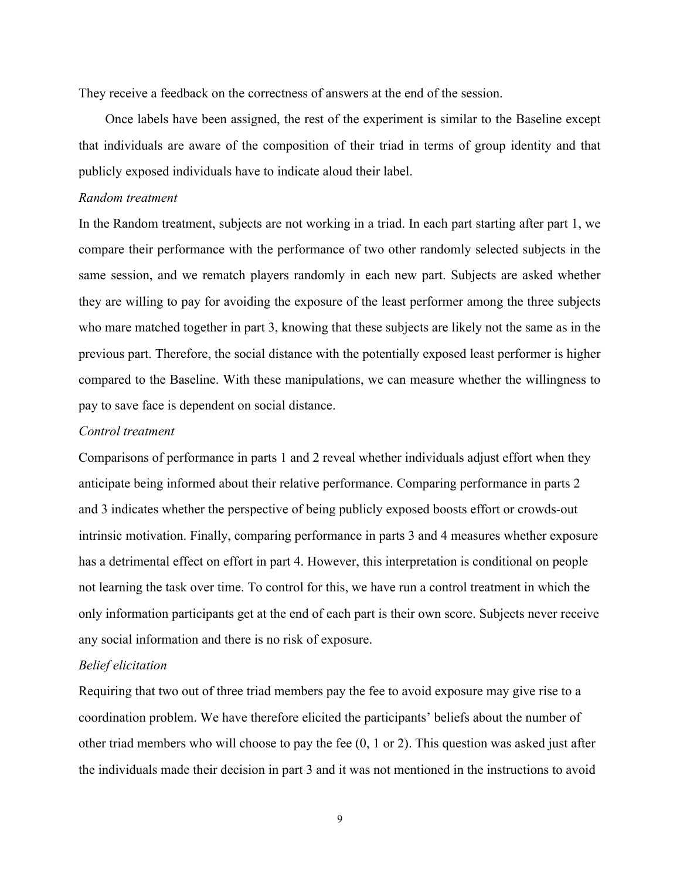They receive a feedback on the correctness of answers at the end of the session.

Once labels have been assigned, the rest of the experiment is similar to the Baseline except that individuals are aware of the composition of their triad in terms of group identity and that publicly exposed individuals have to indicate aloud their label.

#### *Random treatment*

In the Random treatment, subjects are not working in a triad. In each part starting after part 1, we compare their performance with the performance of two other randomly selected subjects in the same session, and we rematch players randomly in each new part. Subjects are asked whether they are willing to pay for avoiding the exposure of the least performer among the three subjects who mare matched together in part 3, knowing that these subjects are likely not the same as in the previous part. Therefore, the social distance with the potentially exposed least performer is higher compared to the Baseline. With these manipulations, we can measure whether the willingness to pay to save face is dependent on social distance.

#### *Control treatment*

Comparisons of performance in parts 1 and 2 reveal whether individuals adjust effort when they anticipate being informed about their relative performance. Comparing performance in parts 2 and 3 indicates whether the perspective of being publicly exposed boosts effort or crowds-out intrinsic motivation. Finally, comparing performance in parts 3 and 4 measures whether exposure has a detrimental effect on effort in part 4. However, this interpretation is conditional on people not learning the task over time. To control for this, we have run a control treatment in which the only information participants get at the end of each part is their own score. Subjects never receive any social information and there is no risk of exposure.

#### *Belief elicitation*

Requiring that two out of three triad members pay the fee to avoid exposure may give rise to a coordination problem. We have therefore elicited the participants' beliefs about the number of other triad members who will choose to pay the fee (0, 1 or 2). This question was asked just after the individuals made their decision in part 3 and it was not mentioned in the instructions to avoid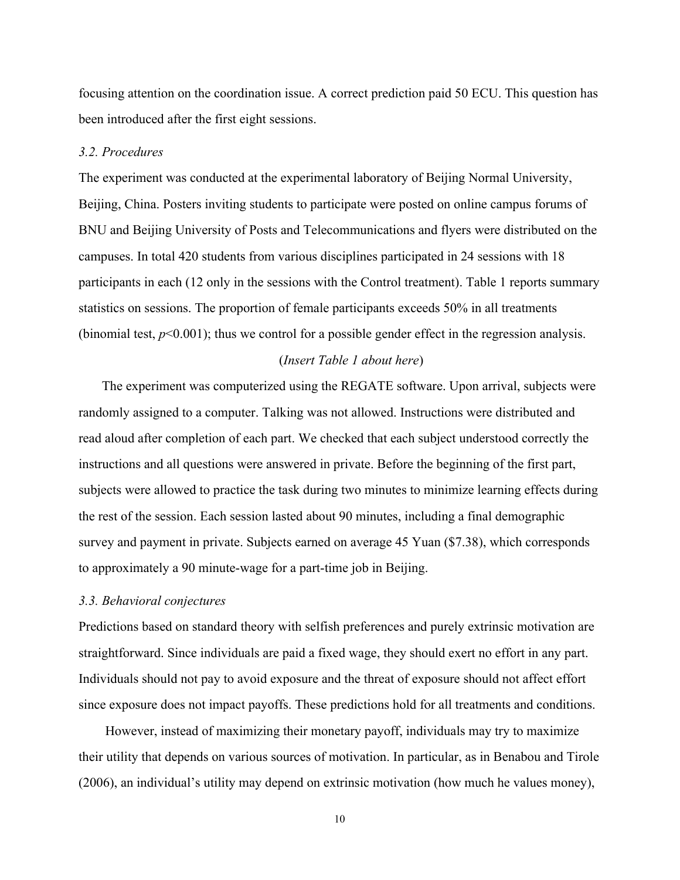focusing attention on the coordination issue. A correct prediction paid 50 ECU. This question has been introduced after the first eight sessions.

#### *3.2. Procedures*

The experiment was conducted at the experimental laboratory of Beijing Normal University, Beijing, China. Posters inviting students to participate were posted on online campus forums of BNU and Beijing University of Posts and Telecommunications and flyers were distributed on the campuses. In total 420 students from various disciplines participated in 24 sessions with 18 participants in each (12 only in the sessions with the Control treatment). Table 1 reports summary statistics on sessions. The proportion of female participants exceeds 50% in all treatments (binomial test,  $p<0.001$ ); thus we control for a possible gender effect in the regression analysis.

#### (*Insert Table 1 about here*)

The experiment was computerized using the REGATE software. Upon arrival, subjects were randomly assigned to a computer. Talking was not allowed. Instructions were distributed and read aloud after completion of each part. We checked that each subject understood correctly the instructions and all questions were answered in private. Before the beginning of the first part, subjects were allowed to practice the task during two minutes to minimize learning effects during the rest of the session. Each session lasted about 90 minutes, including a final demographic survey and payment in private. Subjects earned on average 45 Yuan (\$7.38), which corresponds to approximately a 90 minute-wage for a part-time job in Beijing.

#### *3.3. Behavioral conjectures*

Predictions based on standard theory with selfish preferences and purely extrinsic motivation are straightforward. Since individuals are paid a fixed wage, they should exert no effort in any part. Individuals should not pay to avoid exposure and the threat of exposure should not affect effort since exposure does not impact payoffs. These predictions hold for all treatments and conditions.

 However, instead of maximizing their monetary payoff, individuals may try to maximize their utility that depends on various sources of motivation. In particular, as in Benabou and Tirole (2006), an individual's utility may depend on extrinsic motivation (how much he values money),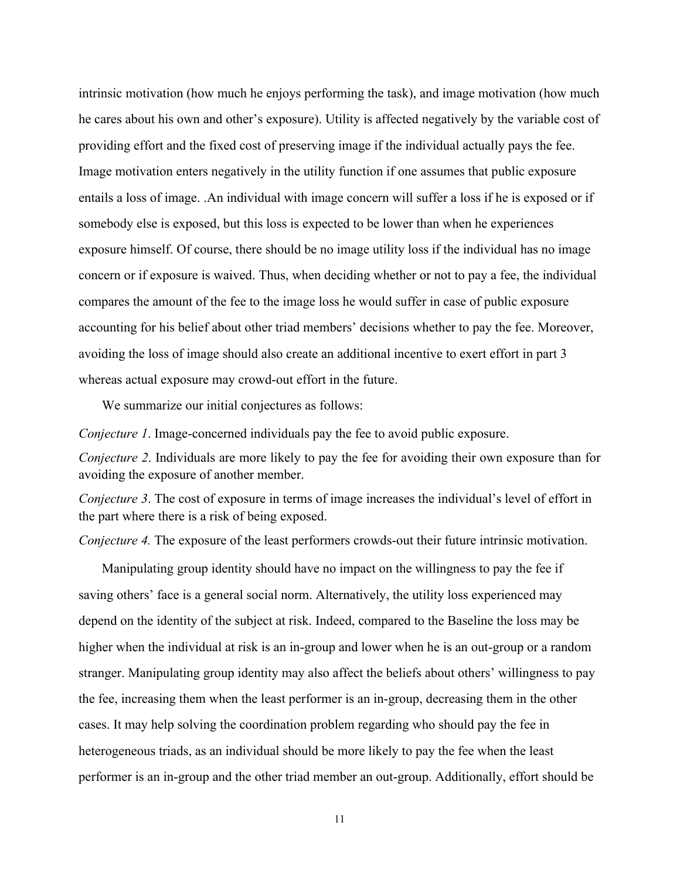intrinsic motivation (how much he enjoys performing the task), and image motivation (how much he cares about his own and other's exposure). Utility is affected negatively by the variable cost of providing effort and the fixed cost of preserving image if the individual actually pays the fee. Image motivation enters negatively in the utility function if one assumes that public exposure entails a loss of image. .An individual with image concern will suffer a loss if he is exposed or if somebody else is exposed, but this loss is expected to be lower than when he experiences exposure himself. Of course, there should be no image utility loss if the individual has no image concern or if exposure is waived. Thus, when deciding whether or not to pay a fee, the individual compares the amount of the fee to the image loss he would suffer in case of public exposure accounting for his belief about other triad members' decisions whether to pay the fee. Moreover, avoiding the loss of image should also create an additional incentive to exert effort in part 3 whereas actual exposure may crowd-out effort in the future.

We summarize our initial conjectures as follows:

*Conjecture 1*. Image-concerned individuals pay the fee to avoid public exposure.

*Conjecture 2*. Individuals are more likely to pay the fee for avoiding their own exposure than for avoiding the exposure of another member.

*Conjecture 3*. The cost of exposure in terms of image increases the individual's level of effort in the part where there is a risk of being exposed.

*Conjecture 4.* The exposure of the least performers crowds-out their future intrinsic motivation.

Manipulating group identity should have no impact on the willingness to pay the fee if saving others' face is a general social norm. Alternatively, the utility loss experienced may depend on the identity of the subject at risk. Indeed, compared to the Baseline the loss may be higher when the individual at risk is an in-group and lower when he is an out-group or a random stranger. Manipulating group identity may also affect the beliefs about others' willingness to pay the fee, increasing them when the least performer is an in-group, decreasing them in the other cases. It may help solving the coordination problem regarding who should pay the fee in heterogeneous triads, as an individual should be more likely to pay the fee when the least performer is an in-group and the other triad member an out-group. Additionally, effort should be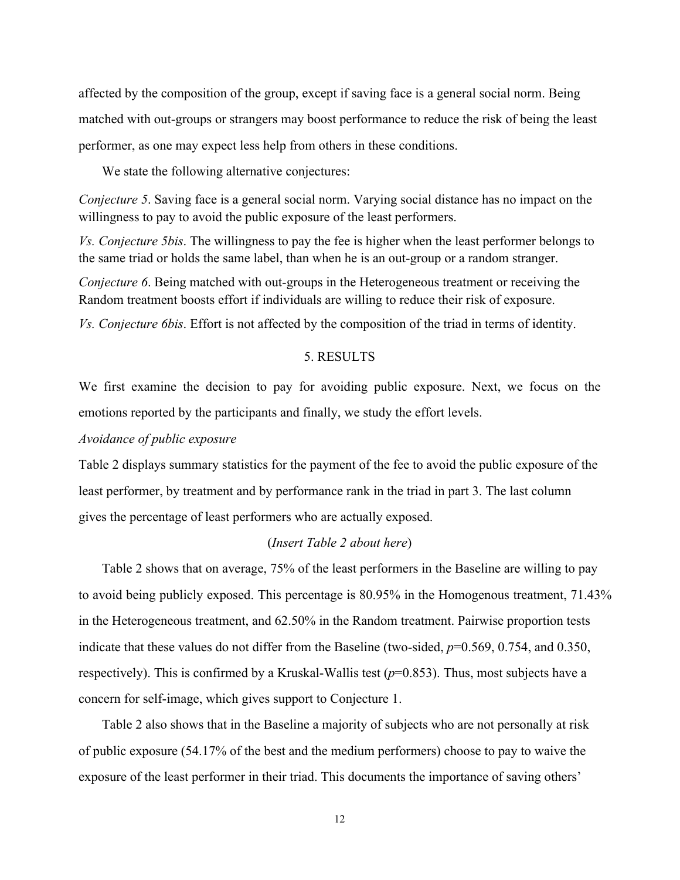affected by the composition of the group, except if saving face is a general social norm. Being matched with out-groups or strangers may boost performance to reduce the risk of being the least performer, as one may expect less help from others in these conditions.

We state the following alternative conjectures:

*Conjecture 5*. Saving face is a general social norm. Varying social distance has no impact on the willingness to pay to avoid the public exposure of the least performers.

*Vs. Conjecture 5bis*. The willingness to pay the fee is higher when the least performer belongs to the same triad or holds the same label, than when he is an out-group or a random stranger.

*Conjecture 6.* Being matched with out-groups in the Heterogeneous treatment or receiving the Random treatment boosts effort if individuals are willing to reduce their risk of exposure.

*Vs. Conjecture 6bis*. Effort is not affected by the composition of the triad in terms of identity.

#### 5. RESULTS

We first examine the decision to pay for avoiding public exposure. Next, we focus on the emotions reported by the participants and finally, we study the effort levels.

#### *Avoidance of public exposure*

Table 2 displays summary statistics for the payment of the fee to avoid the public exposure of the least performer, by treatment and by performance rank in the triad in part 3. The last column gives the percentage of least performers who are actually exposed.

#### (*Insert Table 2 about here*)

Table 2 shows that on average, 75% of the least performers in the Baseline are willing to pay to avoid being publicly exposed. This percentage is 80.95% in the Homogenous treatment, 71.43% in the Heterogeneous treatment, and 62.50% in the Random treatment. Pairwise proportion tests indicate that these values do not differ from the Baseline (two-sided,  $p=0.569$ , 0.754, and 0.350, respectively). This is confirmed by a Kruskal-Wallis test  $(p=0.853)$ . Thus, most subjects have a concern for self-image, which gives support to Conjecture 1.

Table 2 also shows that in the Baseline a majority of subjects who are not personally at risk of public exposure (54.17% of the best and the medium performers) choose to pay to waive the exposure of the least performer in their triad. This documents the importance of saving others'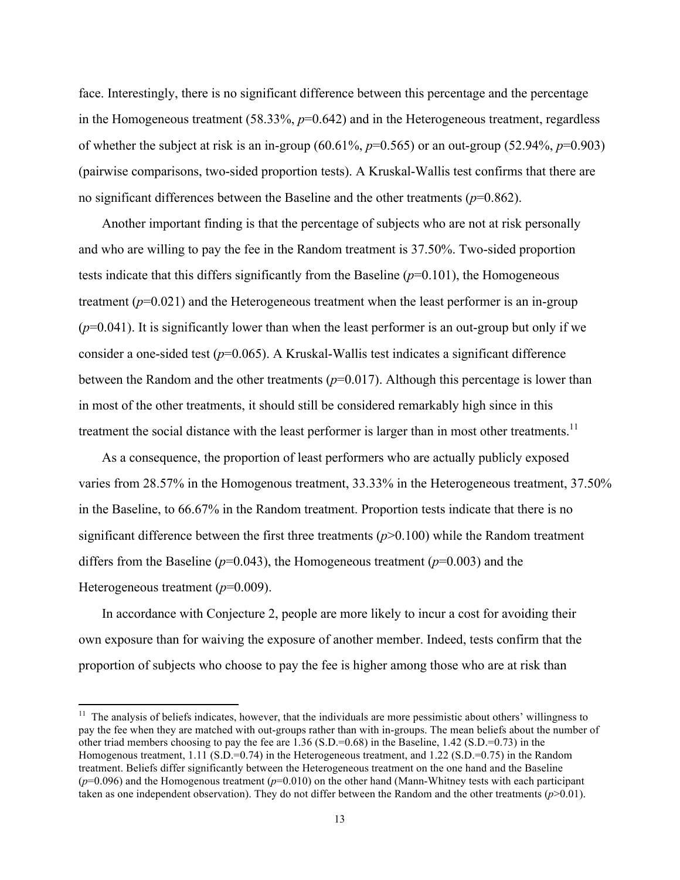face. Interestingly, there is no significant difference between this percentage and the percentage in the Homogeneous treatment (58.33%,  $p=0.642$ ) and in the Heterogeneous treatment, regardless of whether the subject at risk is an in-group (60.61%, *p*=0.565) or an out-group (52.94%, *p*=0.903) (pairwise comparisons, two-sided proportion tests). A Kruskal-Wallis test confirms that there are no significant differences between the Baseline and the other treatments (*p*=0.862).

Another important finding is that the percentage of subjects who are not at risk personally and who are willing to pay the fee in the Random treatment is 37.50%. Two-sided proportion tests indicate that this differs significantly from the Baseline  $(p=0.101)$ , the Homogeneous treatment (*p*=0.021) and the Heterogeneous treatment when the least performer is an in-group  $(p=0.041)$ . It is significantly lower than when the least performer is an out-group but only if we consider a one-sided test (*p*=0.065). A Kruskal-Wallis test indicates a significant difference between the Random and the other treatments (*p*=0.017). Although this percentage is lower than in most of the other treatments, it should still be considered remarkably high since in this treatment the social distance with the least performer is larger than in most other treatments.<sup>11</sup>

As a consequence, the proportion of least performers who are actually publicly exposed varies from 28.57% in the Homogenous treatment, 33.33% in the Heterogeneous treatment, 37.50% in the Baseline, to 66.67% in the Random treatment. Proportion tests indicate that there is no significant difference between the first three treatments  $(p>0.100)$  while the Random treatment differs from the Baseline ( $p=0.043$ ), the Homogeneous treatment ( $p=0.003$ ) and the Heterogeneous treatment (*p*=0.009).

In accordance with Conjecture 2, people are more likely to incur a cost for avoiding their own exposure than for waiving the exposure of another member. Indeed, tests confirm that the proportion of subjects who choose to pay the fee is higher among those who are at risk than

 $11$  The analysis of beliefs indicates, however, that the individuals are more pessimistic about others' willingness to pay the fee when they are matched with out-groups rather than with in-groups. The mean beliefs about the number of other triad members choosing to pay the fee are  $1.36$  (S.D.=0.68) in the Baseline,  $1.42$  (S.D.=0.73) in the Homogenous treatment, 1.11 (S.D.=0.74) in the Heterogeneous treatment, and 1.22 (S.D.=0.75) in the Random treatment. Beliefs differ significantly between the Heterogeneous treatment on the one hand and the Baseline (*p*=0.096) and the Homogenous treatment (*p*=0.010) on the other hand (Mann-Whitney tests with each participant taken as one independent observation). They do not differ between the Random and the other treatments  $(p>0.01)$ .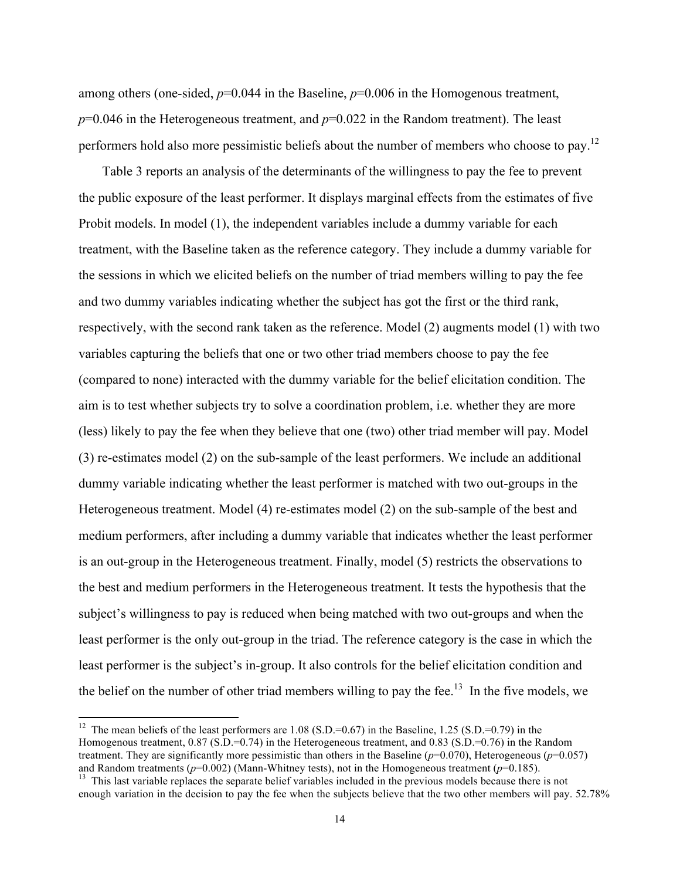among others (one-sided,  $p=0.044$  in the Baseline,  $p=0.006$  in the Homogenous treatment,  $p=0.046$  in the Heterogeneous treatment, and  $p=0.022$  in the Random treatment). The least performers hold also more pessimistic beliefs about the number of members who choose to pay.<sup>12</sup>

Table 3 reports an analysis of the determinants of the willingness to pay the fee to prevent the public exposure of the least performer. It displays marginal effects from the estimates of five Probit models. In model (1), the independent variables include a dummy variable for each treatment, with the Baseline taken as the reference category. They include a dummy variable for the sessions in which we elicited beliefs on the number of triad members willing to pay the fee and two dummy variables indicating whether the subject has got the first or the third rank, respectively, with the second rank taken as the reference. Model (2) augments model (1) with two variables capturing the beliefs that one or two other triad members choose to pay the fee (compared to none) interacted with the dummy variable for the belief elicitation condition. The aim is to test whether subjects try to solve a coordination problem, i.e. whether they are more (less) likely to pay the fee when they believe that one (two) other triad member will pay. Model (3) re-estimates model (2) on the sub-sample of the least performers. We include an additional dummy variable indicating whether the least performer is matched with two out-groups in the Heterogeneous treatment. Model (4) re-estimates model (2) on the sub-sample of the best and medium performers, after including a dummy variable that indicates whether the least performer is an out-group in the Heterogeneous treatment. Finally, model (5) restricts the observations to the best and medium performers in the Heterogeneous treatment. It tests the hypothesis that the subject's willingness to pay is reduced when being matched with two out-groups and when the least performer is the only out-group in the triad. The reference category is the case in which the least performer is the subject's in-group. It also controls for the belief elicitation condition and the belief on the number of other triad members willing to pay the fee.<sup>13</sup> In the five models, we

<sup>&</sup>lt;sup>12</sup> The mean beliefs of the least performers are  $1.08$  (S.D.=0.67) in the Baseline,  $1.25$  (S.D.=0.79) in the Homogenous treatment, 0.87 (S.D.=0.74) in the Heterogeneous treatment, and 0.83 (S.D.=0.76) in the Random treatment. They are significantly more pessimistic than others in the Baseline ( $p=0.070$ ), Heterogeneous ( $p=0.057$ ) and Random treatments ( $p=0.002$ ) (Mann-Whitney tests), not in the Homogeneous treatment ( $p=0.185$ ).

<sup>&</sup>lt;sup>13</sup> This last variable replaces the separate belief variables included in the previous models because there is not enough variation in the decision to pay the fee when the subjects believe that the two other members will pay. 52.78%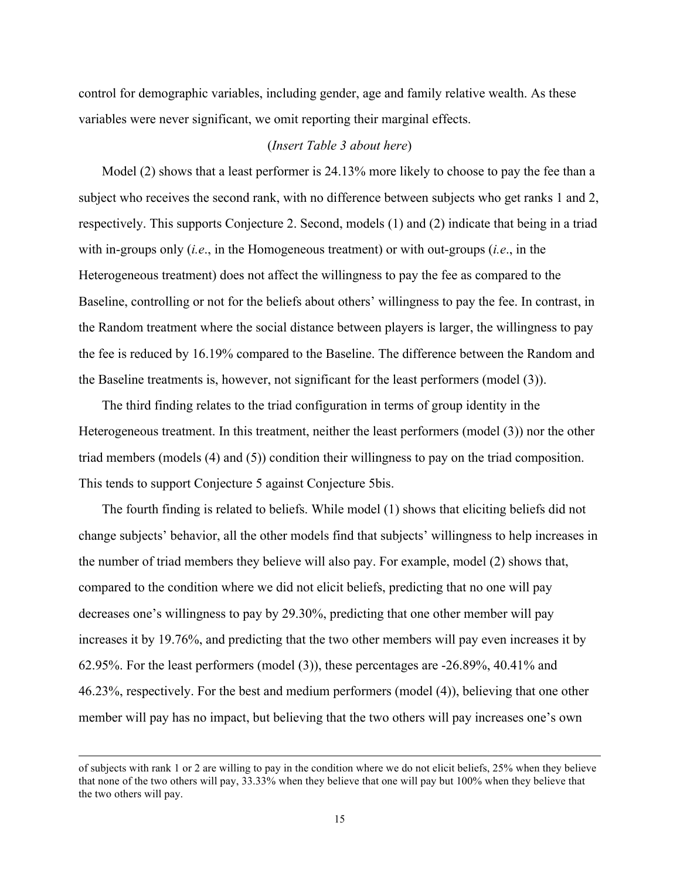control for demographic variables, including gender, age and family relative wealth. As these variables were never significant, we omit reporting their marginal effects.

#### (*Insert Table 3 about here*)

Model (2) shows that a least performer is 24.13% more likely to choose to pay the fee than a subject who receives the second rank, with no difference between subjects who get ranks 1 and 2, respectively. This supports Conjecture 2. Second, models (1) and (2) indicate that being in a triad with in-groups only (*i.e*., in the Homogeneous treatment) or with out-groups (*i.e*., in the Heterogeneous treatment) does not affect the willingness to pay the fee as compared to the Baseline, controlling or not for the beliefs about others' willingness to pay the fee. In contrast, in the Random treatment where the social distance between players is larger, the willingness to pay the fee is reduced by 16.19% compared to the Baseline. The difference between the Random and the Baseline treatments is, however, not significant for the least performers (model (3)).

The third finding relates to the triad configuration in terms of group identity in the Heterogeneous treatment. In this treatment, neither the least performers (model (3)) nor the other triad members (models (4) and (5)) condition their willingness to pay on the triad composition. This tends to support Conjecture 5 against Conjecture 5bis.

The fourth finding is related to beliefs. While model (1) shows that eliciting beliefs did not change subjects' behavior, all the other models find that subjects' willingness to help increases in the number of triad members they believe will also pay. For example, model (2) shows that, compared to the condition where we did not elicit beliefs, predicting that no one will pay decreases one's willingness to pay by 29.30%, predicting that one other member will pay increases it by 19.76%, and predicting that the two other members will pay even increases it by 62.95%. For the least performers (model (3)), these percentages are -26.89%, 40.41% and 46.23%, respectively. For the best and medium performers (model (4)), believing that one other member will pay has no impact, but believing that the two others will pay increases one's own

of subjects with rank 1 or 2 are willing to pay in the condition where we do not elicit beliefs, 25% when they believe that none of the two others will pay, 33.33% when they believe that one will pay but 100% when they believe that the two others will pay.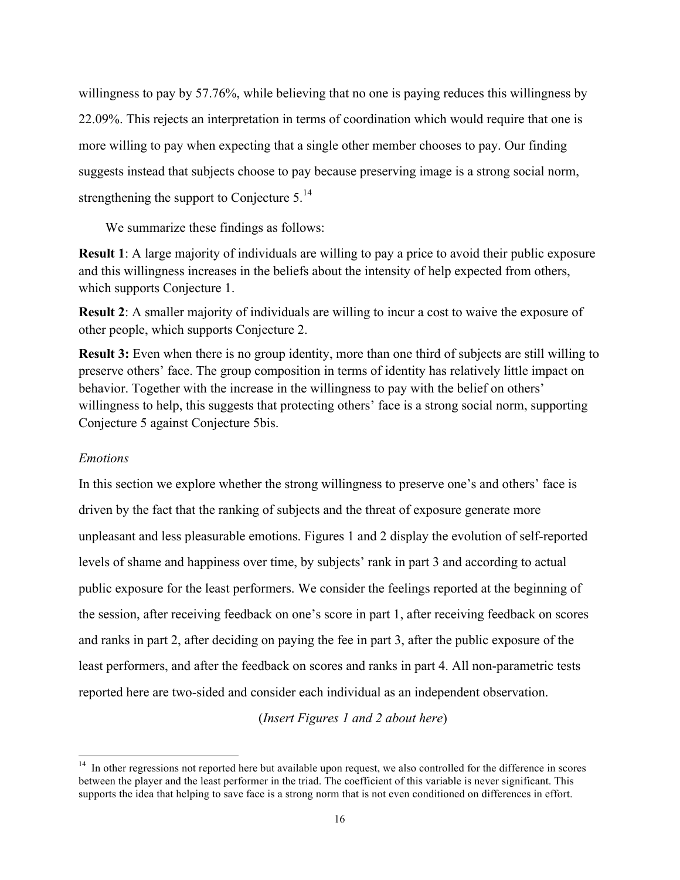willingness to pay by 57.76%, while believing that no one is paying reduces this willingness by 22.09%. This rejects an interpretation in terms of coordination which would require that one is more willing to pay when expecting that a single other member chooses to pay. Our finding suggests instead that subjects choose to pay because preserving image is a strong social norm, strengthening the support to Conjecture  $5.^{14}$ 

We summarize these findings as follows:

**Result 1**: A large majority of individuals are willing to pay a price to avoid their public exposure and this willingness increases in the beliefs about the intensity of help expected from others, which supports Conjecture 1.

**Result 2**: A smaller majority of individuals are willing to incur a cost to waive the exposure of other people, which supports Conjecture 2.

**Result 3:** Even when there is no group identity, more than one third of subjects are still willing to preserve others' face. The group composition in terms of identity has relatively little impact on behavior. Together with the increase in the willingness to pay with the belief on others' willingness to help, this suggests that protecting others' face is a strong social norm, supporting Conjecture 5 against Conjecture 5bis.

#### *Emotions*

In this section we explore whether the strong willingness to preserve one's and others' face is driven by the fact that the ranking of subjects and the threat of exposure generate more unpleasant and less pleasurable emotions. Figures 1 and 2 display the evolution of self-reported levels of shame and happiness over time, by subjects' rank in part 3 and according to actual public exposure for the least performers. We consider the feelings reported at the beginning of the session, after receiving feedback on one's score in part 1, after receiving feedback on scores and ranks in part 2, after deciding on paying the fee in part 3, after the public exposure of the least performers, and after the feedback on scores and ranks in part 4. All non-parametric tests reported here are two-sided and consider each individual as an independent observation.

(*Insert Figures 1 and 2 about here*)

 $14$  In other regressions not reported here but available upon request, we also controlled for the difference in scores between the player and the least performer in the triad. The coefficient of this variable is never significant. This supports the idea that helping to save face is a strong norm that is not even conditioned on differences in effort.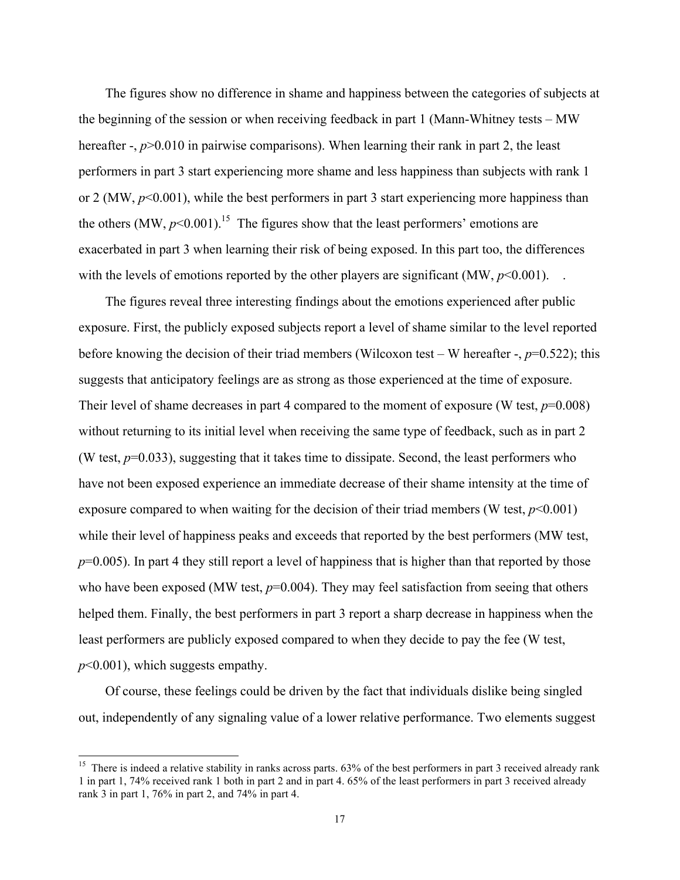The figures show no difference in shame and happiness between the categories of subjects at the beginning of the session or when receiving feedback in part 1 (Mann-Whitney tests – MW hereafter -,  $p > 0.010$  in pairwise comparisons). When learning their rank in part 2, the least performers in part 3 start experiencing more shame and less happiness than subjects with rank 1 or 2 (MW, *p*<0.001), while the best performers in part 3 start experiencing more happiness than the others  $(MW, p<0.001)$ .<sup>15</sup> The figures show that the least performers' emotions are exacerbated in part 3 when learning their risk of being exposed. In this part too, the differences with the levels of emotions reported by the other players are significant  $(MW, p<0.001)$ .

The figures reveal three interesting findings about the emotions experienced after public exposure. First, the publicly exposed subjects report a level of shame similar to the level reported before knowing the decision of their triad members (Wilcoxon test – W hereafter -, *p*=0.522); this suggests that anticipatory feelings are as strong as those experienced at the time of exposure. Their level of shame decreases in part 4 compared to the moment of exposure (W test,  $p=0.008$ ) without returning to its initial level when receiving the same type of feedback, such as in part 2 (W test,  $p=0.033$ ), suggesting that it takes time to dissipate. Second, the least performers who have not been exposed experience an immediate decrease of their shame intensity at the time of exposure compared to when waiting for the decision of their triad members (W test,  $p<0.001$ ) while their level of happiness peaks and exceeds that reported by the best performers (MW test,  $p=0.005$ ). In part 4 they still report a level of happiness that is higher than that reported by those who have been exposed (MW test,  $p=0.004$ ). They may feel satisfaction from seeing that others helped them. Finally, the best performers in part 3 report a sharp decrease in happiness when the least performers are publicly exposed compared to when they decide to pay the fee (W test, *p*<0.001), which suggests empathy.

Of course, these feelings could be driven by the fact that individuals dislike being singled out, independently of any signaling value of a lower relative performance. Two elements suggest

<sup>&</sup>lt;sup>15</sup> There is indeed a relative stability in ranks across parts. 63% of the best performers in part 3 received already rank 1 in part 1, 74% received rank 1 both in part 2 and in part 4. 65% of the least performers in part 3 received already rank 3 in part 1, 76% in part 2, and 74% in part 4.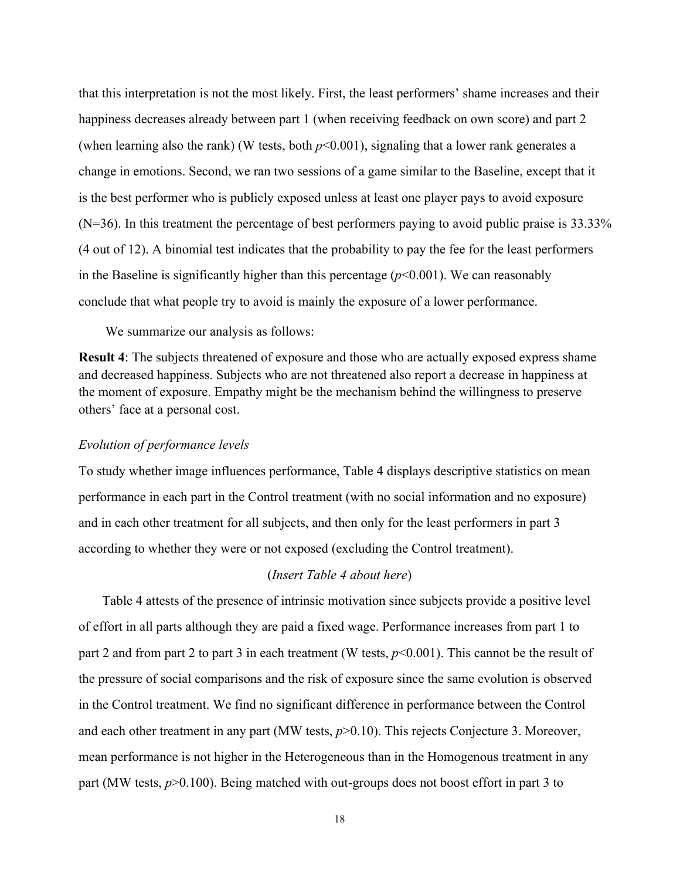that this interpretation is not the most likely. First, the least performers' shame increases and their happiness decreases already between part 1 (when receiving feedback on own score) and part 2 (when learning also the rank) (W tests, both  $p<0.001$ ), signaling that a lower rank generates a change in emotions. Second, we ran two sessions of a game similar to the Baseline, except that it is the best performer who is publicly exposed unless at least one player pays to avoid exposure (N=36). In this treatment the percentage of best performers paying to avoid public praise is 33.33% (4 out of 12). A binomial test indicates that the probability to pay the fee for the least performers in the Baseline is significantly higher than this percentage  $(p<0.001)$ . We can reasonably conclude that what people try to avoid is mainly the exposure of a lower performance.

We summarize our analysis as follows:

**Result 4**: The subjects threatened of exposure and those who are actually exposed express shame and decreased happiness. Subjects who are not threatened also report a decrease in happiness at the moment of exposure. Empathy might be the mechanism behind the willingness to preserve others' face at a personal cost.

#### *Evolution of performance levels*

To study whether image influences performance, Table 4 displays descriptive statistics on mean performance in each part in the Control treatment (with no social information and no exposure) and in each other treatment for all subjects, and then only for the least performers in part 3 according to whether they were or not exposed (excluding the Control treatment).

#### (*Insert Table 4 about here*)

Table 4 attests of the presence of intrinsic motivation since subjects provide a positive level of effort in all parts although they are paid a fixed wage. Performance increases from part 1 to part 2 and from part 2 to part 3 in each treatment (W tests, *p*<0.001). This cannot be the result of the pressure of social comparisons and the risk of exposure since the same evolution is observed in the Control treatment. We find no significant difference in performance between the Control and each other treatment in any part (MW tests,  $p > 0.10$ ). This rejects Conjecture 3. Moreover, mean performance is not higher in the Heterogeneous than in the Homogenous treatment in any part (MW tests, *p*>0.100). Being matched with out-groups does not boost effort in part 3 to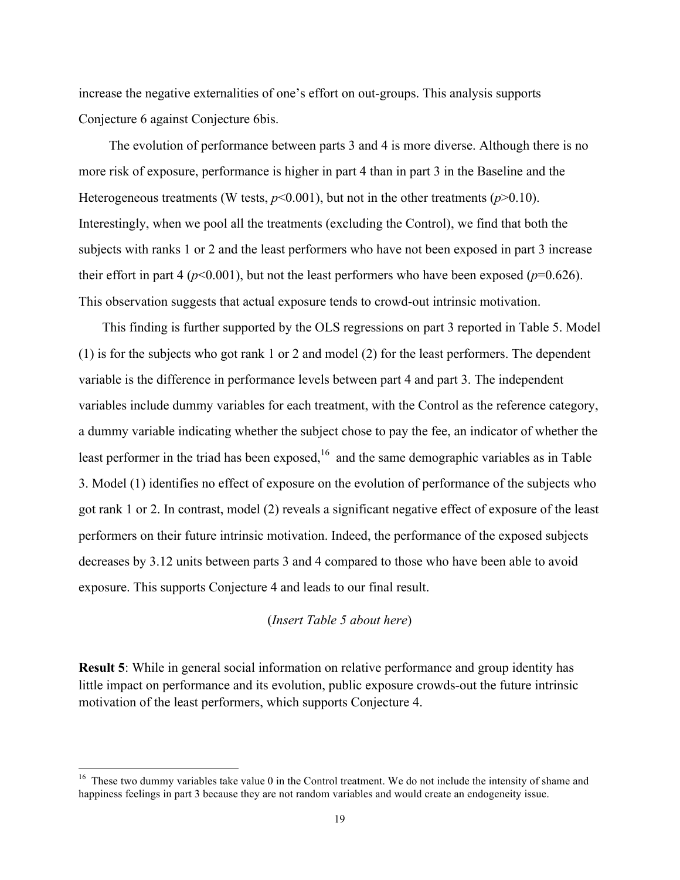increase the negative externalities of one's effort on out-groups. This analysis supports Conjecture 6 against Conjecture 6bis.

The evolution of performance between parts 3 and 4 is more diverse. Although there is no more risk of exposure, performance is higher in part 4 than in part 3 in the Baseline and the Heterogeneous treatments (W tests,  $p<0.001$ ), but not in the other treatments ( $p>0.10$ ). Interestingly, when we pool all the treatments (excluding the Control), we find that both the subjects with ranks 1 or 2 and the least performers who have not been exposed in part 3 increase their effort in part 4 ( $p<0.001$ ), but not the least performers who have been exposed ( $p=0.626$ ). This observation suggests that actual exposure tends to crowd-out intrinsic motivation.

This finding is further supported by the OLS regressions on part 3 reported in Table 5. Model (1) is for the subjects who got rank 1 or 2 and model (2) for the least performers. The dependent variable is the difference in performance levels between part 4 and part 3. The independent variables include dummy variables for each treatment, with the Control as the reference category, a dummy variable indicating whether the subject chose to pay the fee, an indicator of whether the least performer in the triad has been exposed, $16$  and the same demographic variables as in Table 3. Model (1) identifies no effect of exposure on the evolution of performance of the subjects who got rank 1 or 2. In contrast, model (2) reveals a significant negative effect of exposure of the least performers on their future intrinsic motivation. Indeed, the performance of the exposed subjects decreases by 3.12 units between parts 3 and 4 compared to those who have been able to avoid exposure. This supports Conjecture 4 and leads to our final result.

#### (*Insert Table 5 about here*)

**Result 5**: While in general social information on relative performance and group identity has little impact on performance and its evolution, public exposure crowds-out the future intrinsic motivation of the least performers, which supports Conjecture 4.

<sup>&</sup>lt;sup>16</sup> These two dummy variables take value 0 in the Control treatment. We do not include the intensity of shame and happiness feelings in part 3 because they are not random variables and would create an endogeneity issue.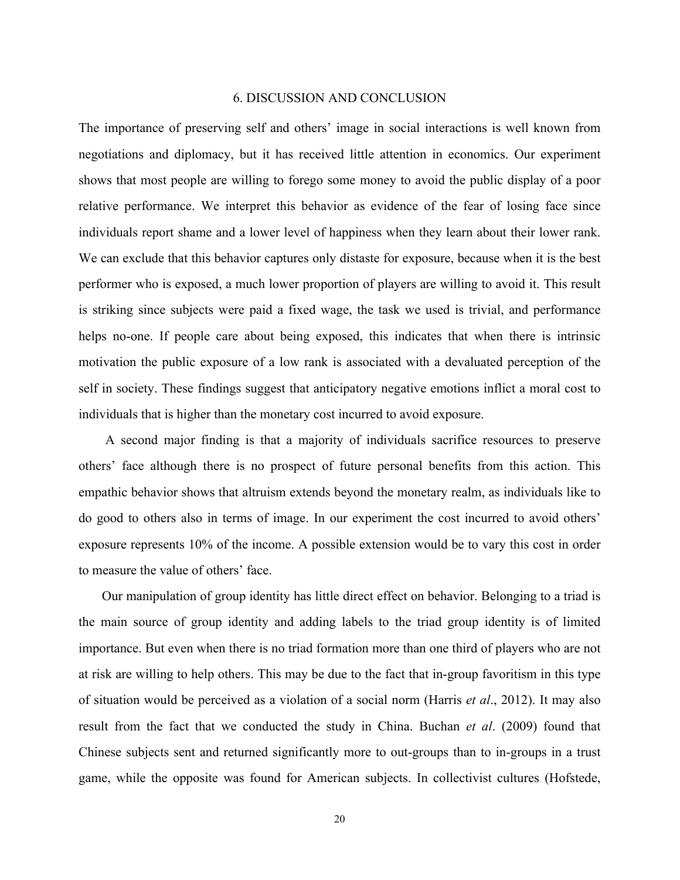#### 6. DISCUSSION AND CONCLUSION

The importance of preserving self and others' image in social interactions is well known from negotiations and diplomacy, but it has received little attention in economics. Our experiment shows that most people are willing to forego some money to avoid the public display of a poor relative performance. We interpret this behavior as evidence of the fear of losing face since individuals report shame and a lower level of happiness when they learn about their lower rank. We can exclude that this behavior captures only distaste for exposure, because when it is the best performer who is exposed, a much lower proportion of players are willing to avoid it. This result is striking since subjects were paid a fixed wage, the task we used is trivial, and performance helps no-one. If people care about being exposed, this indicates that when there is intrinsic motivation the public exposure of a low rank is associated with a devaluated perception of the self in society. These findings suggest that anticipatory negative emotions inflict a moral cost to individuals that is higher than the monetary cost incurred to avoid exposure.

A second major finding is that a majority of individuals sacrifice resources to preserve others' face although there is no prospect of future personal benefits from this action. This empathic behavior shows that altruism extends beyond the monetary realm, as individuals like to do good to others also in terms of image. In our experiment the cost incurred to avoid others' exposure represents 10% of the income. A possible extension would be to vary this cost in order to measure the value of others' face.

Our manipulation of group identity has little direct effect on behavior. Belonging to a triad is the main source of group identity and adding labels to the triad group identity is of limited importance. But even when there is no triad formation more than one third of players who are not at risk are willing to help others. This may be due to the fact that in-group favoritism in this type of situation would be perceived as a violation of a social norm (Harris *et al*., 2012). It may also result from the fact that we conducted the study in China. Buchan *et al*. (2009) found that Chinese subjects sent and returned significantly more to out-groups than to in-groups in a trust game, while the opposite was found for American subjects. In collectivist cultures (Hofstede,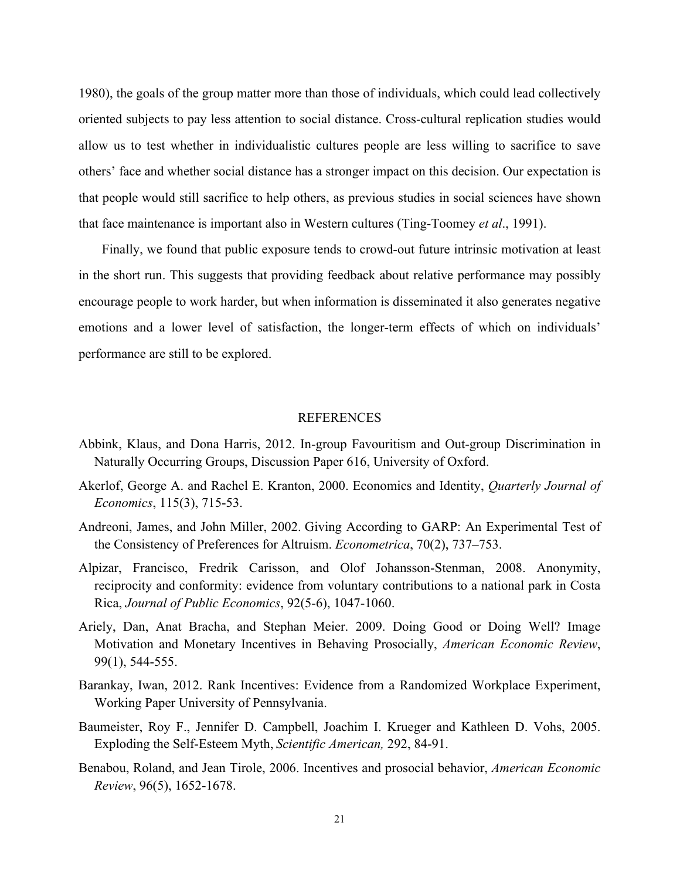1980), the goals of the group matter more than those of individuals, which could lead collectively oriented subjects to pay less attention to social distance. Cross-cultural replication studies would allow us to test whether in individualistic cultures people are less willing to sacrifice to save others' face and whether social distance has a stronger impact on this decision. Our expectation is that people would still sacrifice to help others, as previous studies in social sciences have shown that face maintenance is important also in Western cultures (Ting-Toomey *et al*., 1991).

Finally, we found that public exposure tends to crowd-out future intrinsic motivation at least in the short run. This suggests that providing feedback about relative performance may possibly encourage people to work harder, but when information is disseminated it also generates negative emotions and a lower level of satisfaction, the longer-term effects of which on individuals' performance are still to be explored.

#### REFERENCES

- Abbink, Klaus, and Dona Harris, 2012. In-group Favouritism and Out-group Discrimination in Naturally Occurring Groups, Discussion Paper 616, University of Oxford.
- Akerlof, George A. and Rachel E. Kranton, 2000. Economics and Identity, *Quarterly Journal of Economics*, 115(3), 715-53.
- Andreoni, James, and John Miller, 2002. Giving According to GARP: An Experimental Test of the Consistency of Preferences for Altruism. *Econometrica*, 70(2), 737–753.
- Alpizar, Francisco, Fredrik Carisson, and Olof Johansson-Stenman, 2008. Anonymity, reciprocity and conformity: evidence from voluntary contributions to a national park in Costa Rica, *Journal of Public Economics*, 92(5-6), 1047-1060.
- Ariely, Dan, Anat Bracha, and Stephan Meier. 2009. Doing Good or Doing Well? Image Motivation and Monetary Incentives in Behaving Prosocially, *American Economic Review*, 99(1), 544-555.
- Barankay, Iwan, 2012. Rank Incentives: Evidence from a Randomized Workplace Experiment, Working Paper University of Pennsylvania.
- Baumeister, Roy F., Jennifer D. Campbell, Joachim I. Krueger and Kathleen D. Vohs, 2005. Exploding the Self-Esteem Myth, *Scientific American,* 292, 84-91.
- Benabou, Roland, and Jean Tirole, 2006. Incentives and prosocial behavior, *American Economic Review*, 96(5), 1652-1678.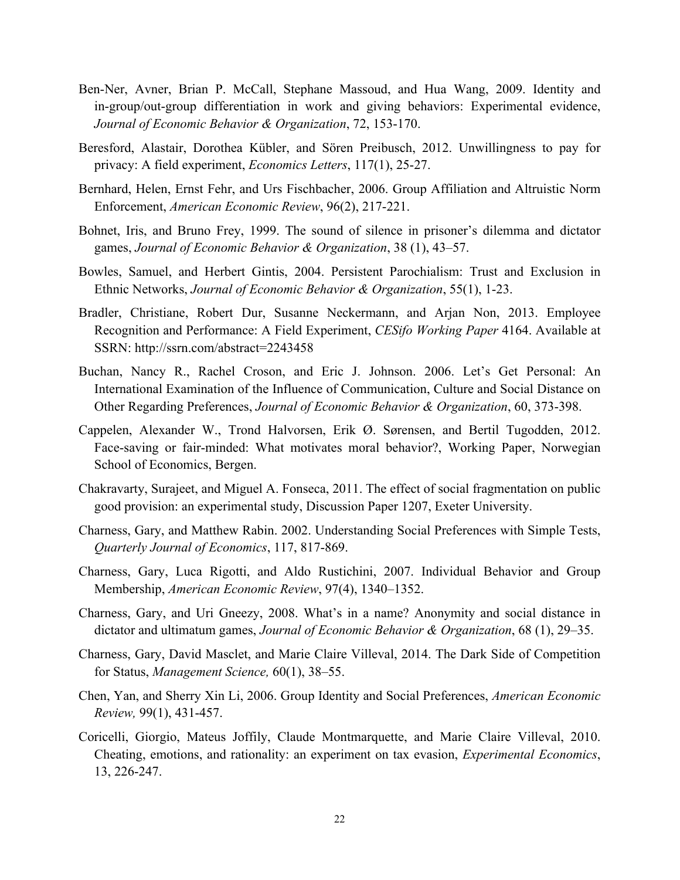- Ben-Ner, Avner, Brian P. McCall, Stephane Massoud, and Hua Wang, 2009. Identity and in-group/out-group differentiation in work and giving behaviors: Experimental evidence, *Journal of Economic Behavior & Organization*, 72, 153-170.
- Beresford, Alastair, Dorothea Kübler, and Sören Preibusch, 2012. Unwillingness to pay for privacy: A field experiment, *Economics Letters*, 117(1), 25-27.
- Bernhard, Helen, Ernst Fehr, and Urs Fischbacher, 2006. Group Affiliation and Altruistic Norm Enforcement, *American Economic Review*, 96(2), 217-221.
- Bohnet, Iris, and Bruno Frey, 1999. The sound of silence in prisoner's dilemma and dictator games, *Journal of Economic Behavior & Organization*, 38 (1), 43–57.
- Bowles, Samuel, and Herbert Gintis, 2004. Persistent Parochialism: Trust and Exclusion in Ethnic Networks, *Journal of Economic Behavior & Organization*, 55(1), 1-23.
- Bradler, Christiane, Robert Dur, Susanne Neckermann, and Arjan Non, 2013. Employee Recognition and Performance: A Field Experiment, *CESifo Working Paper* 4164. Available at SSRN: http://ssrn.com/abstract=2243458
- Buchan, Nancy R., Rachel Croson, and Eric J. Johnson. 2006. Let's Get Personal: An International Examination of the Influence of Communication, Culture and Social Distance on Other Regarding Preferences, *Journal of Economic Behavior & Organization*, 60, 373-398.
- Cappelen, Alexander W., Trond Halvorsen, Erik Ø. Sørensen, and Bertil Tugodden, 2012. Face-saving or fair-minded: What motivates moral behavior?, Working Paper, Norwegian School of Economics, Bergen.
- Chakravarty, Surajeet, and Miguel A. Fonseca, 2011. The effect of social fragmentation on public good provision: an experimental study, Discussion Paper 1207, Exeter University.
- Charness, Gary, and Matthew Rabin. 2002. Understanding Social Preferences with Simple Tests, *Quarterly Journal of Economics*, 117, 817-869.
- Charness, Gary, Luca Rigotti, and Aldo Rustichini, 2007. Individual Behavior and Group Membership, *American Economic Review*, 97(4), 1340–1352.
- Charness, Gary, and Uri Gneezy, 2008. What's in a name? Anonymity and social distance in dictator and ultimatum games, *Journal of Economic Behavior & Organization*, 68 (1), 29–35.
- Charness, Gary, David Masclet, and Marie Claire Villeval, 2014. The Dark Side of Competition for Status, *Management Science,* 60(1), 38–55.
- Chen, Yan, and Sherry Xin Li, 2006. Group Identity and Social Preferences, *American Economic Review,* 99(1), 431-457.
- Coricelli, Giorgio, Mateus Joffily, Claude Montmarquette, and Marie Claire Villeval, 2010. Cheating, emotions, and rationality: an experiment on tax evasion, *Experimental Economics*, 13, 226-247.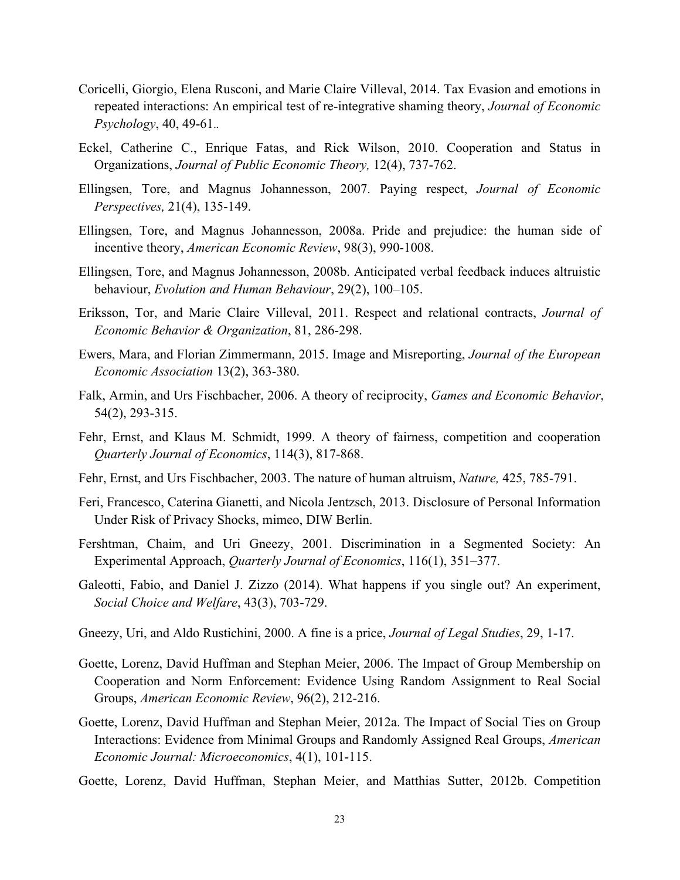- Coricelli, Giorgio, Elena Rusconi, and Marie Claire Villeval, 2014. Tax Evasion and emotions in repeated interactions: An empirical test of re-integrative shaming theory, *Journal of Economic Psychology*, 40, 49-61.*.*
- Eckel, Catherine C., Enrique Fatas, and Rick Wilson, 2010. Cooperation and Status in Organizations, *Journal of Public Economic Theory,* 12(4), 737-762.
- Ellingsen, Tore, and Magnus Johannesson, 2007. Paying respect, *Journal of Economic Perspectives,* 21(4), 135-149.
- Ellingsen, Tore, and Magnus Johannesson, 2008a. Pride and prejudice: the human side of incentive theory, *American Economic Review*, 98(3), 990-1008.
- Ellingsen, Tore, and Magnus Johannesson, 2008b. Anticipated verbal feedback induces altruistic behaviour, *Evolution and Human Behaviour*, 29(2), 100–105.
- Eriksson, Tor, and Marie Claire Villeval, 2011. Respect and relational contracts, *Journal of Economic Behavior & Organization*, 81, 286-298.
- Ewers, Mara, and Florian Zimmermann, 2015. Image and Misreporting, *Journal of the European Economic Association* 13(2), 363-380.
- Falk, Armin, and Urs Fischbacher, 2006. A theory of reciprocity, *Games and Economic Behavior*, 54(2), 293-315.
- Fehr, Ernst, and Klaus M. Schmidt, 1999. A theory of fairness, competition and cooperation *Quarterly Journal of Economics*, 114(3), 817-868.
- Fehr, Ernst, and Urs Fischbacher, 2003. The nature of human altruism, *Nature,* 425, 785-791.
- Feri, Francesco, Caterina Gianetti, and Nicola Jentzsch, 2013. Disclosure of Personal Information Under Risk of Privacy Shocks, mimeo, DIW Berlin.
- Fershtman, Chaim, and Uri Gneezy, 2001. Discrimination in a Segmented Society: An Experimental Approach, *Quarterly Journal of Economics*, 116(1), 351–377.
- Galeotti, Fabio, and Daniel J. Zizzo (2014). What happens if you single out? An experiment, *Social Choice and Welfare*, 43(3), 703-729.
- Gneezy, Uri, and Aldo Rustichini, 2000. A fine is a price, *Journal of Legal Studies*, 29, 1-17.
- Goette, Lorenz, David Huffman and Stephan Meier, 2006. The Impact of Group Membership on Cooperation and Norm Enforcement: Evidence Using Random Assignment to Real Social Groups, *American Economic Review*, 96(2), 212-216.
- Goette, Lorenz, David Huffman and Stephan Meier, 2012a. The Impact of Social Ties on Group Interactions: Evidence from Minimal Groups and Randomly Assigned Real Groups, *American Economic Journal: Microeconomics*, 4(1), 101-115.
- Goette, Lorenz, David Huffman, Stephan Meier, and Matthias Sutter, 2012b. Competition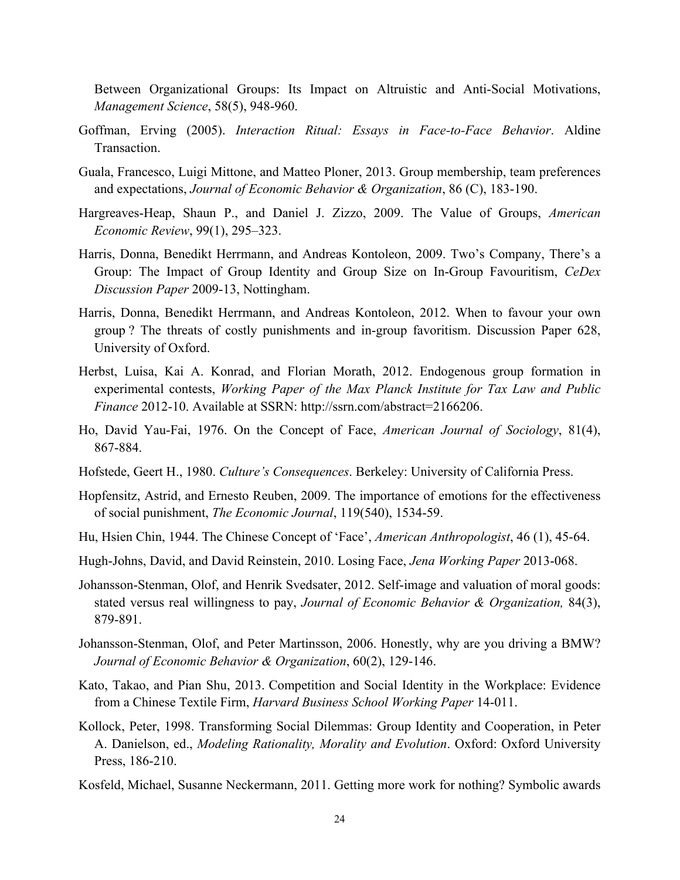Between Organizational Groups: Its Impact on Altruistic and Anti-Social Motivations, *Management Science*, 58(5), 948-960.

- Goffman, Erving (2005). *Interaction Ritual: Essays in Face-to-Face Behavior*. Aldine Transaction.
- Guala, Francesco, Luigi Mittone, and Matteo Ploner, 2013. Group membership, team preferences and expectations, *Journal of Economic Behavior & Organization*, 86 (C), 183-190.
- Hargreaves-Heap, Shaun P., and Daniel J. Zizzo, 2009. The Value of Groups, *American Economic Review*, 99(1), 295–323.
- Harris, Donna, Benedikt Herrmann, and Andreas Kontoleon, 2009. Two's Company, There's a Group: The Impact of Group Identity and Group Size on In-Group Favouritism, *CeDex Discussion Paper* 2009-13, Nottingham.
- Harris, Donna, Benedikt Herrmann, and Andreas Kontoleon, 2012. When to favour your own group ? The threats of costly punishments and in-group favoritism. Discussion Paper 628, University of Oxford.
- Herbst, Luisa, Kai A. Konrad, and Florian Morath, 2012. Endogenous group formation in experimental contests, *Working Paper of the Max Planck Institute for Tax Law and Public Finance* 2012-10. Available at SSRN: http://ssrn.com/abstract=2166206.
- Ho, David Yau-Fai, 1976. On the Concept of Face, *American Journal of Sociology*, 81(4), 867-884.
- Hofstede, Geert H., 1980. *Culture's Consequences*. Berkeley: University of California Press.
- Hopfensitz, Astrid, and Ernesto Reuben, 2009. The importance of emotions for the effectiveness of social punishment, *The Economic Journal*, 119(540), 1534-59.
- Hu, Hsien Chin, 1944. The Chinese Concept of 'Face', *American Anthropologist*, 46 (1), 45-64.
- Hugh-Johns, David, and David Reinstein, 2010. Losing Face, *Jena Working Paper* 2013-068.
- Johansson-Stenman, Olof, and Henrik Svedsater, 2012. Self-image and valuation of moral goods: stated versus real willingness to pay, *Journal of Economic Behavior & Organization,* 84(3), 879-891.
- Johansson-Stenman, Olof, and Peter Martinsson, 2006. Honestly, why are you driving a BMW? *Journal of Economic Behavior & Organization*, 60(2), 129-146.
- Kato, Takao, and Pian Shu, 2013. Competition and Social Identity in the Workplace: Evidence from a Chinese Textile Firm, *Harvard Business School Working Paper* 14-011.
- Kollock, Peter, 1998. Transforming Social Dilemmas: Group Identity and Cooperation, in Peter A. Danielson, ed., *Modeling Rationality, Morality and Evolution*. Oxford: Oxford University Press, 186-210.
- Kosfeld, Michael, Susanne Neckermann, 2011. Getting more work for nothing? Symbolic awards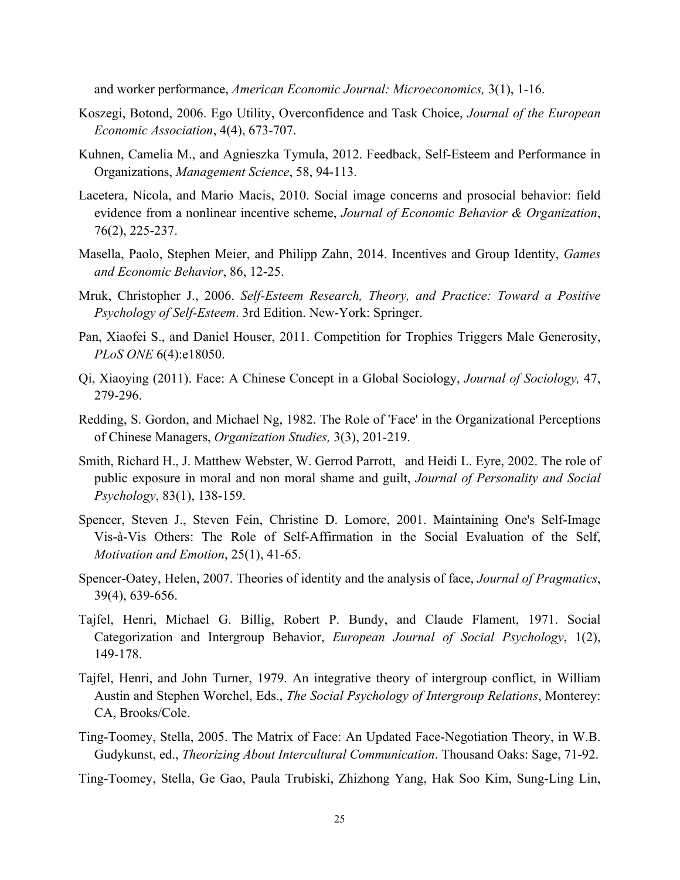and worker performance, *American Economic Journal: Microeconomics,* 3(1), 1-16.

- Koszegi, Botond, 2006. Ego Utility, Overconfidence and Task Choice, *Journal of the European Economic Association*, 4(4), 673-707.
- Kuhnen, Camelia M., and Agnieszka Tymula, 2012. Feedback, Self-Esteem and Performance in Organizations, *Management Science*, 58, 94-113.
- Lacetera, Nicola, and Mario Macis, 2010. Social image concerns and prosocial behavior: field evidence from a nonlinear incentive scheme, *Journal of Economic Behavior & Organization*, 76(2), 225-237.
- Masella, Paolo, Stephen Meier, and Philipp Zahn, 2014. Incentives and Group Identity, *Games and Economic Behavior*, 86, 12-25.
- Mruk, Christopher J., 2006. *Self-Esteem Research, Theory, and Practice: Toward a Positive Psychology of Self-Esteem*. 3rd Edition. New-York: Springer.
- Pan, Xiaofei S., and Daniel Houser, 2011. Competition for Trophies Triggers Male Generosity, *PLoS ONE* 6(4):e18050.
- Qi, Xiaoying (2011). Face: A Chinese Concept in a Global Sociology, *Journal of Sociology,* 47, 279-296.
- Redding, S. Gordon, and Michael Ng, 1982. The Role of 'Face' in the Organizational Perceptions of Chinese Managers, *Organization Studies,* 3(3), 201-219.
- Smith, Richard H., J. Matthew Webster, W. Gerrod Parrott, and Heidi L. Eyre, 2002. The role of public exposure in moral and non moral shame and guilt, *Journal of Personality and Social Psychology*, 83(1), 138-159.
- Spencer, Steven J., Steven Fein, Christine D. Lomore, 2001. Maintaining One's Self-Image Vis-à-Vis Others: The Role of Self-Affirmation in the Social Evaluation of the Self, *Motivation and Emotion*, 25(1), 41-65.
- Spencer-Oatey, Helen, 2007. Theories of identity and the analysis of face, *Journal of Pragmatics*, 39(4), 639-656.
- Tajfel, Henri, Michael G. Billig, Robert P. Bundy, and Claude Flament, 1971. Social Categorization and Intergroup Behavior, *European Journal of Social Psychology*, 1(2), 149-178.
- Tajfel, Henri, and John Turner, 1979. An integrative theory of intergroup conflict, in William Austin and Stephen Worchel, Eds., *The Social Psychology of Intergroup Relations*, Monterey: CA, Brooks/Cole.
- Ting-Toomey, Stella, 2005. The Matrix of Face: An Updated Face-Negotiation Theory, in W.B. Gudykunst, ed., *Theorizing About Intercultural Communication*. Thousand Oaks: Sage, 71-92.
- Ting-Toomey, Stella, Ge Gao, Paula Trubiski, Zhizhong Yang, Hak Soo Kim, Sung-Ling Lin,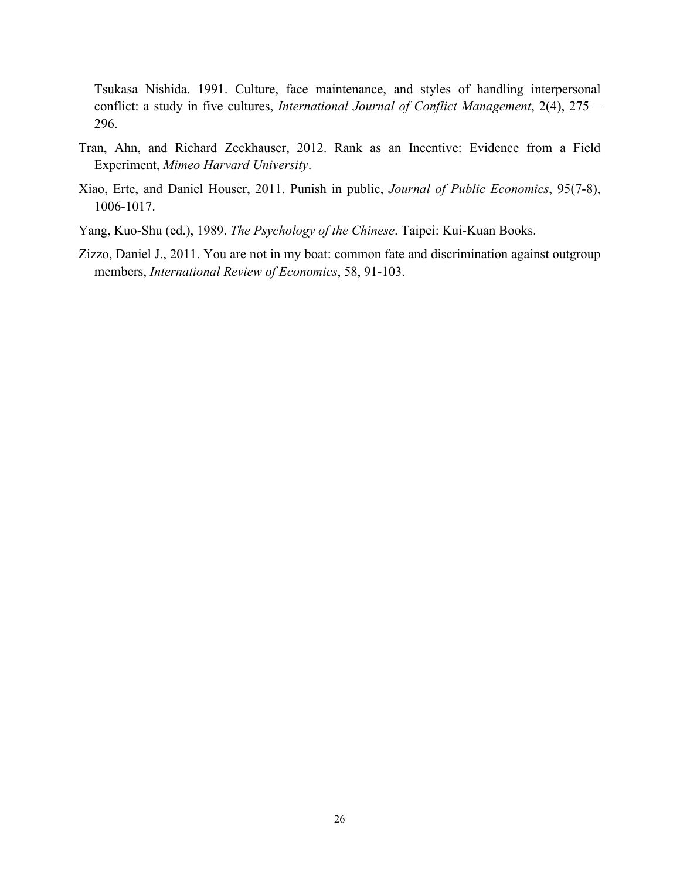Tsukasa Nishida. 1991. Culture, face maintenance, and styles of handling interpersonal conflict: a study in five cultures, *International Journal of Conflict Management*, 2(4), 275 – 296.

- Tran, Ahn, and Richard Zeckhauser, 2012. Rank as an Incentive: Evidence from a Field Experiment, *Mimeo Harvard University*.
- Xiao, Erte, and Daniel Houser, 2011. Punish in public, *Journal of Public Economics*, 95(7-8), 1006-1017.
- Yang, Kuo-Shu (ed.), 1989. *The Psychology of the Chinese*. Taipei: Kui-Kuan Books.
- Zizzo, Daniel J., 2011. You are not in my boat: common fate and discrimination against outgroup members, *International Review of Economics*, 58, 91-103.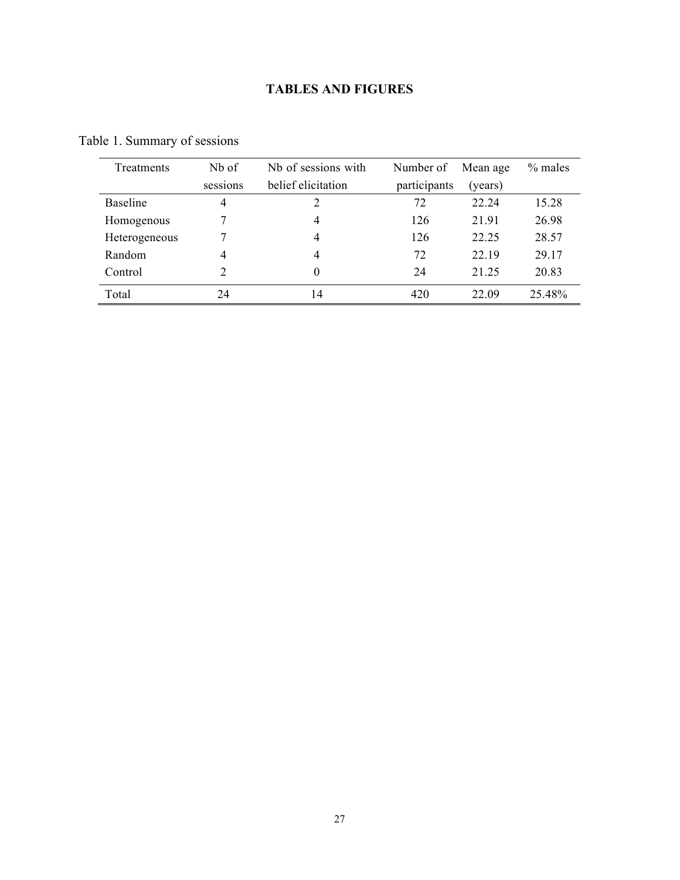## **TABLES AND FIGURES**

| <b>Treatments</b> | Nb of    | Nb of sessions with | Number of    | Mean age | $%$ males |
|-------------------|----------|---------------------|--------------|----------|-----------|
|                   | sessions | belief elicitation  | participants | (years)  |           |
| <b>Baseline</b>   | 4        |                     | 72           | 22.24    | 15.28     |
| Homogenous        |          | 4                   | 126          | 21.91    | 26.98     |
| Heterogeneous     |          | 4                   | 126          | 22.25    | 28.57     |
| Random            | 4        | 4                   | 72           | 22.19    | 29.17     |
| Control           |          | 0                   | 24           | 21 25    | 20.83     |
| Total             | 24       | 4                   | 420          | 22.09    | 25.48%    |

Table 1. Summary of sessions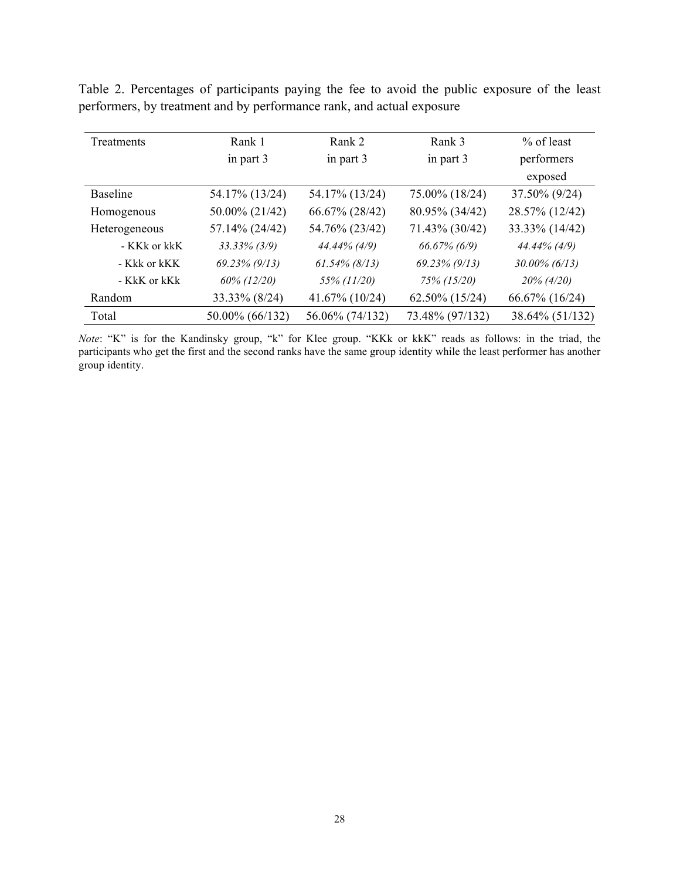|  | Table 2. Percentages of participants paying the fee to avoid the public exposure of the least |  |  |  |  |  |
|--|-----------------------------------------------------------------------------------------------|--|--|--|--|--|
|  | performers, by treatment and by performance rank, and actual exposure                         |  |  |  |  |  |

| Treatments      | Rank 1           | Rank 2           | Rank 3              | $%$ of least     |
|-----------------|------------------|------------------|---------------------|------------------|
|                 | in part 3        | in part 3        | in part 3           | performers       |
|                 |                  |                  |                     | exposed          |
| <b>Baseline</b> | 54.17% (13/24)   | 54.17% (13/24)   | 75.00% (18/24)      | 37.50% (9/24)    |
| Homogenous      | 50.00% (21/42)   | 66.67% (28/42)   | 80.95% (34/42)      | 28.57% (12/42)   |
| Heterogeneous   | 57.14% (24/42)   | 54.76% (23/42)   | 71.43% (30/42)      | 33.33% (14/42)   |
| - KKk or kkK    | $33.33\%$ (3/9)  | $44.44\%$ (4/9)  | $66.67\%$ (6/9)     | 44.44% (4/9)     |
| - Kkk or kKK    | $69.23\%$ (9/13) | $61.54\%$ (8/13) | $69.23\%$ (9/13)    | $30.00\%$ (6/13) |
| - KkK or kKk    | 60% (12/20)      | 55% (11/20)      | 75% (15/20)         | $20\% (4/20)$    |
| Random          | 33.33% (8/24)    | 41.67% (10/24)   | $62.50\%$ $(15/24)$ | 66.67% (16/24)   |
| Total           | 50.00% (66/132)  | 56.06% (74/132)  | 73.48% (97/132)     | 38.64% (51/132)  |

*Note*: "K" is for the Kandinsky group, "k" for Klee group. "KKk or kkK" reads as follows: in the triad, the participants who get the first and the second ranks have the same group identity while the least performer has another group identity.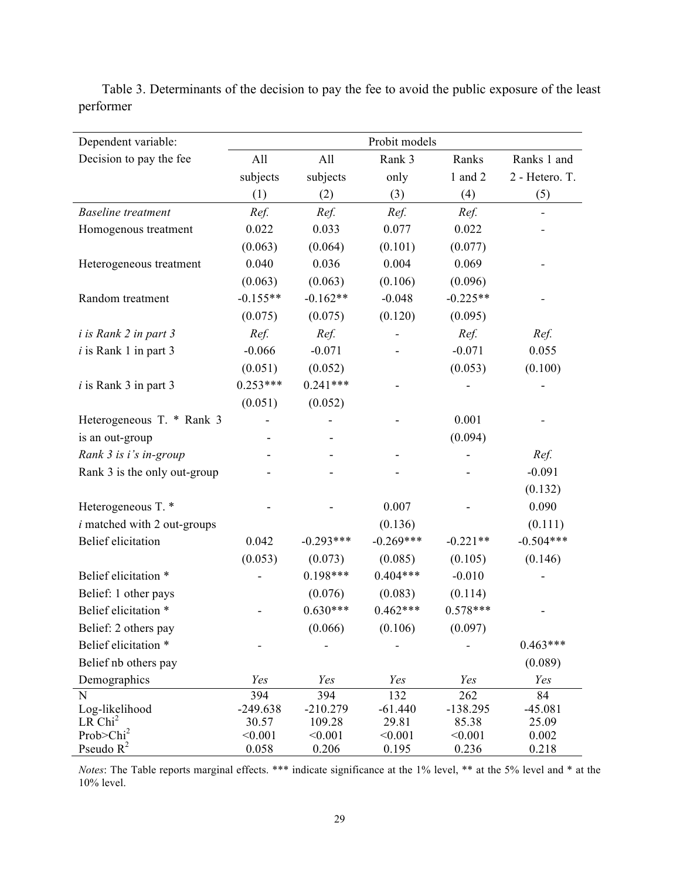| Dependent variable:                   |                  |                  | Probit models    |                  |                |
|---------------------------------------|------------------|------------------|------------------|------------------|----------------|
| Decision to pay the fee               | All              | All              | Rank 3           | Ranks            | Ranks 1 and    |
|                                       | subjects         | subjects         | only             | 1 and 2          | 2 - Hetero. T. |
|                                       | (1)              | (2)              | (3)              | (4)              | (5)            |
| <b>Baseline</b> treatment             | Ref.             | Ref.             | Ref.             | Ref.             |                |
| Homogenous treatment                  | 0.022            | 0.033            | 0.077            | 0.022            |                |
|                                       | (0.063)          | (0.064)          | (0.101)          | (0.077)          |                |
| Heterogeneous treatment               | 0.040            | 0.036            | 0.004            | 0.069            |                |
|                                       | (0.063)          | (0.063)          | (0.106)          | (0.096)          |                |
| Random treatment                      | $-0.155**$       | $-0.162**$       | $-0.048$         | $-0.225**$       |                |
|                                       | (0.075)          | (0.075)          | (0.120)          | (0.095)          |                |
| <i>i</i> is Rank 2 in part 3          | Ref.             | Ref.             |                  | Ref.             | Ref.           |
| $i$ is Rank 1 in part 3               | $-0.066$         | $-0.071$         |                  | $-0.071$         | 0.055          |
|                                       | (0.051)          | (0.052)          |                  | (0.053)          | (0.100)        |
| $i$ is Rank 3 in part 3               | $0.253***$       | $0.241***$       |                  |                  |                |
|                                       | (0.051)          | (0.052)          |                  |                  |                |
| Heterogeneous T. * Rank 3             |                  |                  |                  | 0.001            |                |
| is an out-group                       |                  |                  |                  | (0.094)          |                |
| Rank 3 is i's in-group                |                  |                  |                  |                  | Ref.           |
| Rank 3 is the only out-group          |                  |                  |                  |                  | $-0.091$       |
|                                       |                  |                  |                  |                  | (0.132)        |
| Heterogeneous T. *                    |                  |                  | 0.007            |                  | 0.090          |
| $i$ matched with 2 out-groups         |                  |                  | (0.136)          |                  | (0.111)        |
| <b>Belief</b> elicitation             | 0.042            | $-0.293***$      | $-0.269***$      | $-0.221**$       | $-0.504***$    |
|                                       | (0.053)          | (0.073)          | (0.085)          | (0.105)          | (0.146)        |
| Belief elicitation *                  |                  | $0.198***$       | $0.404***$       | $-0.010$         |                |
| Belief: 1 other pays                  |                  | (0.076)          | (0.083)          | (0.114)          |                |
| Belief elicitation *                  |                  | $0.630***$       | $0.462***$       | $0.578***$       |                |
| Belief: 2 others pay                  |                  | (0.066)          | (0.106)          | (0.097)          |                |
| Belief elicitation *                  |                  |                  |                  |                  | $0.463***$     |
| Belief nb others pay                  |                  |                  |                  |                  | (0.089)        |
| Demographics                          | Yes              | Yes              | Yes              | Yes              | Yes            |
| ${\bf N}$                             | 394              | 394              | 132              | 262              | 84             |
| Log-likelihood                        | $-249.638$       | $-210.279$       | $-61.440$        | $-138.295$       | $-45.081$      |
| LR Chi <sup>2</sup>                   | 30.57            | 109.28           | 29.81            | 85.38            | 25.09          |
| Prob>Chi <sup>2</sup><br>Pseudo $R^2$ | < 0.001<br>0.058 | < 0.001<br>0.206 | < 0.001<br>0.195 | < 0.001<br>0.236 | 0.002<br>0.218 |

Table 3. Determinants of the decision to pay the fee to avoid the public exposure of the least performer

*Notes*: The Table reports marginal effects. \*\*\* indicate significance at the 1% level, \*\* at the 5% level and \* at the 10% level.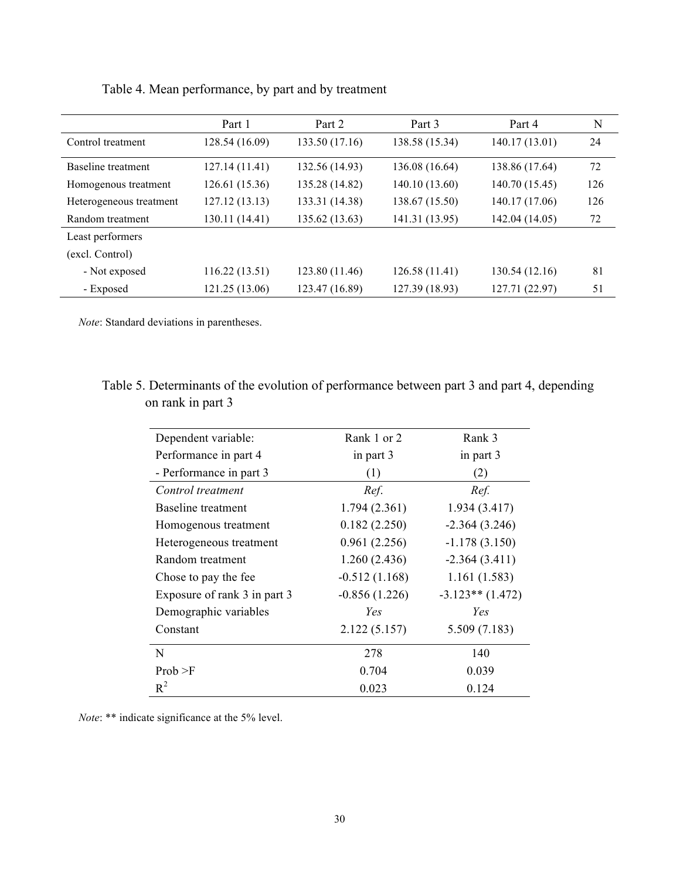|                         | Part 1         | Part 2         | Part 3         | Part 4         | N   |
|-------------------------|----------------|----------------|----------------|----------------|-----|
| Control treatment       | 128.54 (16.09) | 133.50 (17.16) | 138.58 (15.34) | 140.17 (13.01) | 24  |
| Baseline treatment      | 127.14(11.41)  | 132.56 (14.93) | 136.08 (16.64) | 138.86 (17.64) | 72  |
| Homogenous treatment    | 126.61 (15.36) | 135.28 (14.82) | 140.10 (13.60) | 140.70 (15.45) | 126 |
| Heterogeneous treatment | 127.12 (13.13) | 133.31 (14.38) | 138.67 (15.50) | 140.17 (17.06) | 126 |
| Random treatment        | 130.11 (14.41) | 135.62 (13.63) | 141.31 (13.95) | 142.04 (14.05) | 72  |
| Least performers        |                |                |                |                |     |
| (excl. Control)         |                |                |                |                |     |
| - Not exposed           | 116.22 (13.51) | 123.80 (11.46) | 126.58(11.41)  | 130.54 (12.16) | 81  |
| - Exposed               | 121.25 (13.06) | 123.47 (16.89) | 127.39 (18.93) | 127.71 (22.97) | 51  |

Table 4. Mean performance, by part and by treatment

*Note*: Standard deviations in parentheses.

## Table 5. Determinants of the evolution of performance between part 3 and part 4, depending on rank in part 3

| Dependent variable:          | Rank 1 or 2     | Rank 3             |  |
|------------------------------|-----------------|--------------------|--|
| Performance in part 4        | in part 3       | in part 3          |  |
| - Performance in part 3      | (1)             | (2)                |  |
| Control treatment            | Ref.            | Ref.               |  |
| <b>Baseline</b> treatment    | 1.794(2.361)    | 1.934(3.417)       |  |
| Homogenous treatment         | 0.182(2.250)    | $-2.364(3.246)$    |  |
| Heterogeneous treatment      | 0.961(2.256)    | $-1.178(3.150)$    |  |
| Random treatment             | 1.260(2.436)    | $-2.364(3.411)$    |  |
| Chose to pay the fee         | $-0.512(1.168)$ | 1.161(1.583)       |  |
| Exposure of rank 3 in part 3 | $-0.856(1.226)$ | $-3.123**$ (1.472) |  |
| Demographic variables        | Yes             | Yes                |  |
| Constant                     | 2.122(5.157)    | 5.509(7.183)       |  |
| N                            | 278             | 140                |  |
| Prob > F                     | 0.704           | 0.039              |  |
| $R^2$                        | 0.023           | 0.124              |  |

*Note*: \*\* indicate significance at the 5% level.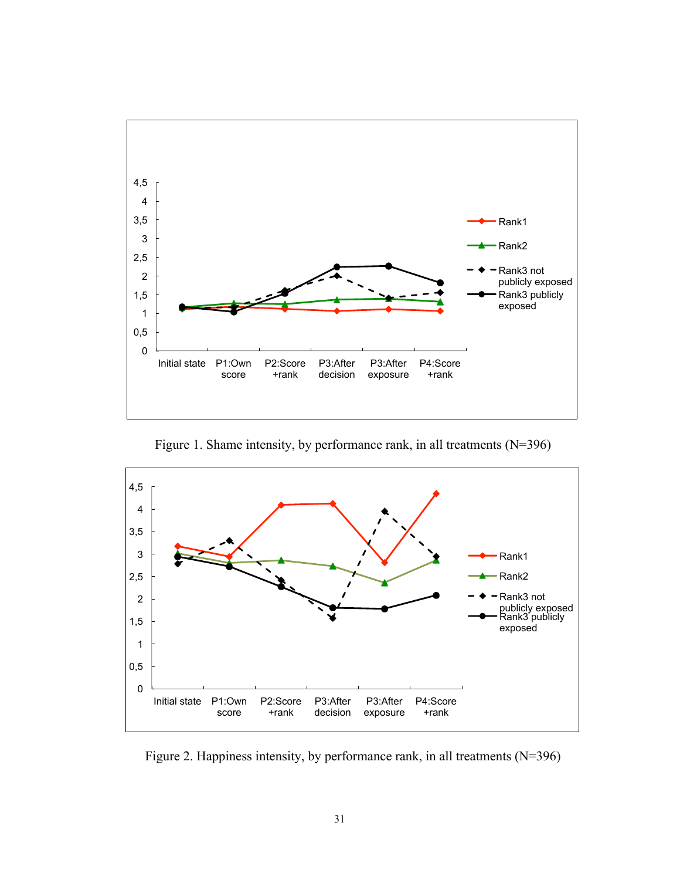

Figure 1. Shame intensity, by performance rank, in all treatments (N=396)



Figure 2. Happiness intensity, by performance rank, in all treatments (N=396)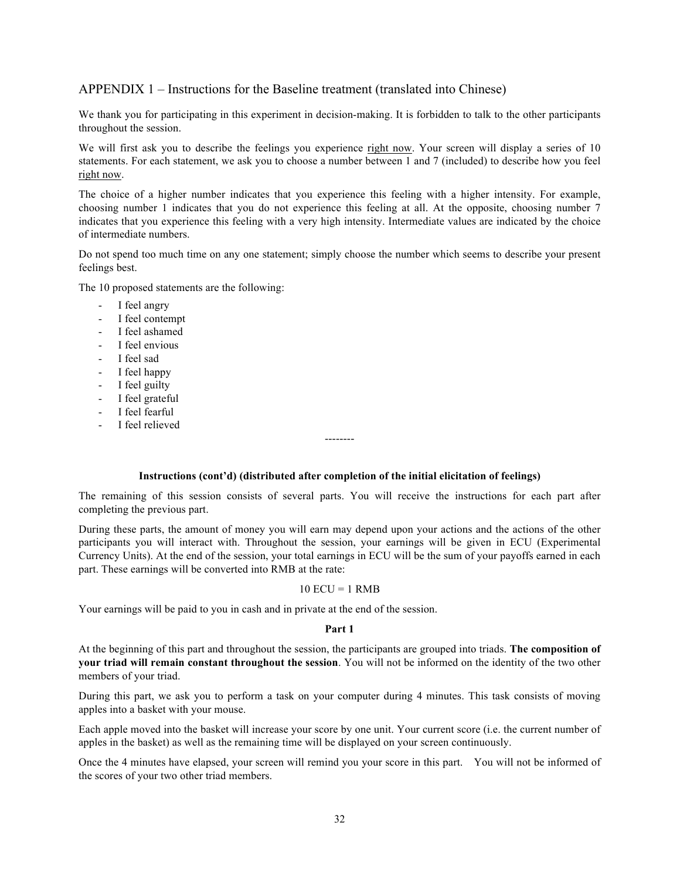#### APPENDIX 1 – Instructions for the Baseline treatment (translated into Chinese)

We thank you for participating in this experiment in decision-making. It is forbidden to talk to the other participants throughout the session.

We will first ask you to describe the feelings you experience right now. Your screen will display a series of 10 statements. For each statement, we ask you to choose a number between 1 and 7 (included) to describe how you feel right now.

The choice of a higher number indicates that you experience this feeling with a higher intensity. For example, choosing number 1 indicates that you do not experience this feeling at all. At the opposite, choosing number 7 indicates that you experience this feeling with a very high intensity. Intermediate values are indicated by the choice of intermediate numbers.

Do not spend too much time on any one statement; simply choose the number which seems to describe your present feelings best.

The 10 proposed statements are the following:

- I feel angry
- I feel contempt
- I feel ashamed
- I feel envious
- I feel sad
- I feel happy
- I feel guilty
- I feel grateful
- I feel fearful
- I feel relieved

#### **Instructions (cont'd) (distributed after completion of the initial elicitation of feelings)**

--------

The remaining of this session consists of several parts. You will receive the instructions for each part after completing the previous part.

During these parts, the amount of money you will earn may depend upon your actions and the actions of the other participants you will interact with. Throughout the session, your earnings will be given in ECU (Experimental Currency Units). At the end of the session, your total earnings in ECU will be the sum of your payoffs earned in each part. These earnings will be converted into RMB at the rate:

#### $10$  ECU = 1 RMB

Your earnings will be paid to you in cash and in private at the end of the session.

#### **Part 1**

At the beginning of this part and throughout the session, the participants are grouped into triads. **The composition of your triad will remain constant throughout the session**. You will not be informed on the identity of the two other members of your triad.

During this part, we ask you to perform a task on your computer during 4 minutes. This task consists of moving apples into a basket with your mouse.

Each apple moved into the basket will increase your score by one unit. Your current score (i.e. the current number of apples in the basket) as well as the remaining time will be displayed on your screen continuously.

Once the 4 minutes have elapsed, your screen will remind you your score in this part. You will not be informed of the scores of your two other triad members.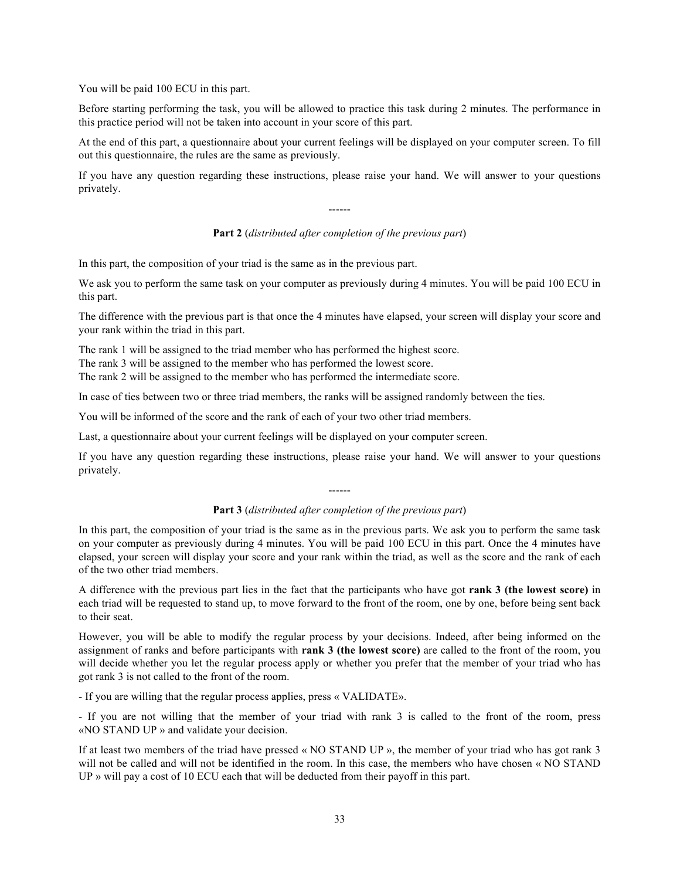You will be paid 100 ECU in this part.

Before starting performing the task, you will be allowed to practice this task during 2 minutes. The performance in this practice period will not be taken into account in your score of this part.

At the end of this part, a questionnaire about your current feelings will be displayed on your computer screen. To fill out this questionnaire, the rules are the same as previously.

If you have any question regarding these instructions, please raise your hand. We will answer to your questions privately.

------

#### **Part 2** (*distributed after completion of the previous part*)

In this part, the composition of your triad is the same as in the previous part.

We ask you to perform the same task on your computer as previously during 4 minutes. You will be paid 100 ECU in this part.

The difference with the previous part is that once the 4 minutes have elapsed, your screen will display your score and your rank within the triad in this part.

The rank 1 will be assigned to the triad member who has performed the highest score.

The rank 3 will be assigned to the member who has performed the lowest score.

The rank 2 will be assigned to the member who has performed the intermediate score.

In case of ties between two or three triad members, the ranks will be assigned randomly between the ties.

You will be informed of the score and the rank of each of your two other triad members.

Last, a questionnaire about your current feelings will be displayed on your computer screen.

If you have any question regarding these instructions, please raise your hand. We will answer to your questions privately.

### ------ **Part 3** (*distributed after completion of the previous part*)

In this part, the composition of your triad is the same as in the previous parts. We ask you to perform the same task on your computer as previously during 4 minutes. You will be paid 100 ECU in this part. Once the 4 minutes have elapsed, your screen will display your score and your rank within the triad, as well as the score and the rank of each of the two other triad members.

A difference with the previous part lies in the fact that the participants who have got **rank 3 (the lowest score)** in each triad will be requested to stand up, to move forward to the front of the room, one by one, before being sent back to their seat.

However, you will be able to modify the regular process by your decisions. Indeed, after being informed on the assignment of ranks and before participants with **rank 3 (the lowest score)** are called to the front of the room, you will decide whether you let the regular process apply or whether you prefer that the member of your triad who has got rank 3 is not called to the front of the room.

- If you are willing that the regular process applies, press « VALIDATE».

- If you are not willing that the member of your triad with rank 3 is called to the front of the room, press «NO STAND UP » and validate your decision.

If at least two members of the triad have pressed « NO STAND UP », the member of your triad who has got rank 3 will not be called and will not be identified in the room. In this case, the members who have chosen « NO STAND UP » will pay a cost of 10 ECU each that will be deducted from their payoff in this part.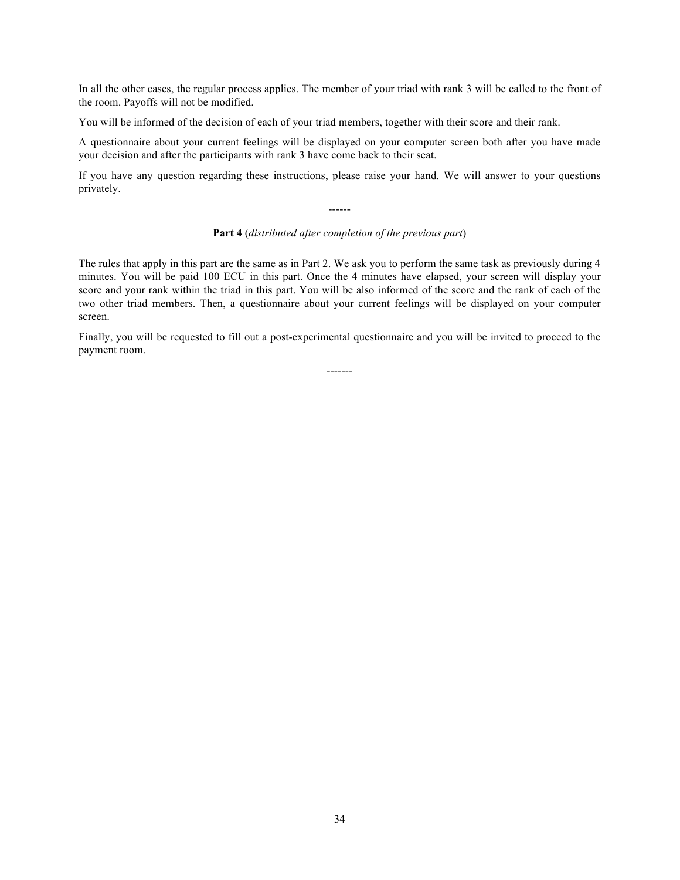In all the other cases, the regular process applies. The member of your triad with rank 3 will be called to the front of the room. Payoffs will not be modified.

You will be informed of the decision of each of your triad members, together with their score and their rank.

A questionnaire about your current feelings will be displayed on your computer screen both after you have made your decision and after the participants with rank 3 have come back to their seat.

If you have any question regarding these instructions, please raise your hand. We will answer to your questions privately.

#### **Part 4** (*distributed after completion of the previous part*)

------

The rules that apply in this part are the same as in Part 2. We ask you to perform the same task as previously during 4 minutes. You will be paid 100 ECU in this part. Once the 4 minutes have elapsed, your screen will display your score and your rank within the triad in this part. You will be also informed of the score and the rank of each of the two other triad members. Then, a questionnaire about your current feelings will be displayed on your computer screen.

Finally, you will be requested to fill out a post-experimental questionnaire and you will be invited to proceed to the payment room.

-------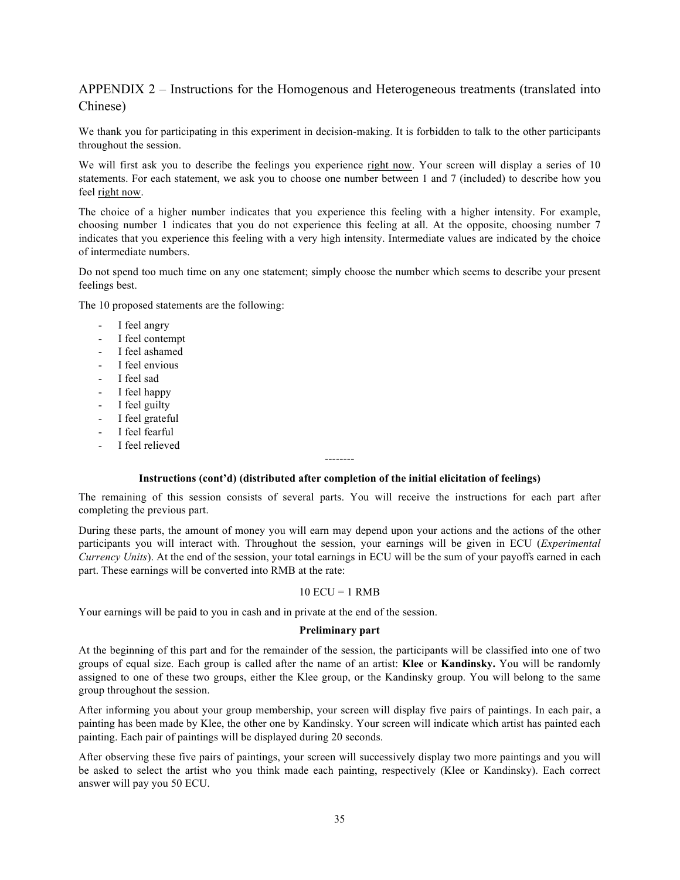### APPENDIX 2 – Instructions for the Homogenous and Heterogeneous treatments (translated into Chinese)

We thank you for participating in this experiment in decision-making. It is forbidden to talk to the other participants throughout the session.

We will first ask you to describe the feelings you experience right now. Your screen will display a series of 10 statements. For each statement, we ask you to choose one number between 1 and 7 (included) to describe how you feel right now.

The choice of a higher number indicates that you experience this feeling with a higher intensity. For example, choosing number 1 indicates that you do not experience this feeling at all. At the opposite, choosing number 7 indicates that you experience this feeling with a very high intensity. Intermediate values are indicated by the choice of intermediate numbers.

Do not spend too much time on any one statement; simply choose the number which seems to describe your present feelings best.

The 10 proposed statements are the following:

- I feel angry
- I feel contempt
- I feel ashamed
- I feel envious
- I feel sad
- I feel happy
- I feel guilty
- I feel grateful
- I feel fearful
- I feel relieved

#### -------- **Instructions (cont'd) (distributed after completion of the initial elicitation of feelings)**

The remaining of this session consists of several parts. You will receive the instructions for each part after completing the previous part.

During these parts, the amount of money you will earn may depend upon your actions and the actions of the other participants you will interact with. Throughout the session, your earnings will be given in ECU (*Experimental Currency Units*). At the end of the session, your total earnings in ECU will be the sum of your payoffs earned in each part. These earnings will be converted into RMB at the rate:

#### $10$  ECU = 1 RMB

Your earnings will be paid to you in cash and in private at the end of the session.

#### **Preliminary part**

At the beginning of this part and for the remainder of the session, the participants will be classified into one of two groups of equal size. Each group is called after the name of an artist: **Klee** or **Kandinsky.** You will be randomly assigned to one of these two groups, either the Klee group, or the Kandinsky group. You will belong to the same group throughout the session.

After informing you about your group membership, your screen will display five pairs of paintings. In each pair, a painting has been made by Klee, the other one by Kandinsky. Your screen will indicate which artist has painted each painting. Each pair of paintings will be displayed during 20 seconds.

After observing these five pairs of paintings, your screen will successively display two more paintings and you will be asked to select the artist who you think made each painting, respectively (Klee or Kandinsky). Each correct answer will pay you 50 ECU.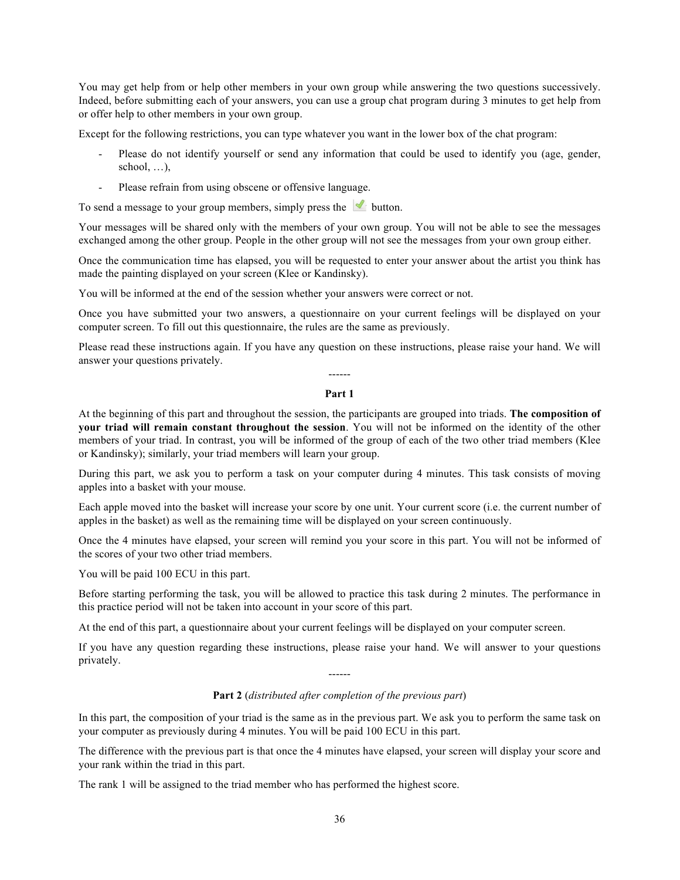You may get help from or help other members in your own group while answering the two questions successively. Indeed, before submitting each of your answers, you can use a group chat program during 3 minutes to get help from or offer help to other members in your own group.

Except for the following restrictions, you can type whatever you want in the lower box of the chat program:

- Please do not identify yourself or send any information that could be used to identify you (age, gender, school,  $\dots$ ).
- Please refrain from using obscene or offensive language.

To send a message to your group members, simply press the button.

Your messages will be shared only with the members of your own group. You will not be able to see the messages exchanged among the other group. People in the other group will not see the messages from your own group either.

Once the communication time has elapsed, you will be requested to enter your answer about the artist you think has made the painting displayed on your screen (Klee or Kandinsky).

You will be informed at the end of the session whether your answers were correct or not.

Once you have submitted your two answers, a questionnaire on your current feelings will be displayed on your computer screen. To fill out this questionnaire, the rules are the same as previously.

Please read these instructions again. If you have any question on these instructions, please raise your hand. We will answer your questions privately. ------

#### **Part 1**

At the beginning of this part and throughout the session, the participants are grouped into triads. **The composition of your triad will remain constant throughout the session**. You will not be informed on the identity of the other members of your triad. In contrast, you will be informed of the group of each of the two other triad members (Klee or Kandinsky); similarly, your triad members will learn your group.

During this part, we ask you to perform a task on your computer during 4 minutes. This task consists of moving apples into a basket with your mouse.

Each apple moved into the basket will increase your score by one unit. Your current score (i.e. the current number of apples in the basket) as well as the remaining time will be displayed on your screen continuously.

Once the 4 minutes have elapsed, your screen will remind you your score in this part. You will not be informed of the scores of your two other triad members.

You will be paid 100 ECU in this part.

Before starting performing the task, you will be allowed to practice this task during 2 minutes. The performance in this practice period will not be taken into account in your score of this part.

At the end of this part, a questionnaire about your current feelings will be displayed on your computer screen.

If you have any question regarding these instructions, please raise your hand. We will answer to your questions privately. ------

**Part 2** (*distributed after completion of the previous part*)

In this part, the composition of your triad is the same as in the previous part. We ask you to perform the same task on your computer as previously during 4 minutes. You will be paid 100 ECU in this part.

The difference with the previous part is that once the 4 minutes have elapsed, your screen will display your score and your rank within the triad in this part.

The rank 1 will be assigned to the triad member who has performed the highest score.